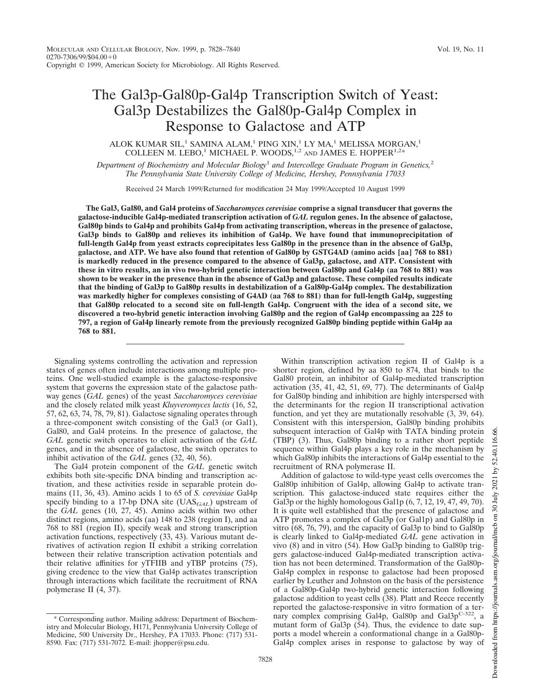# The Gal3p-Gal80p-Gal4p Transcription Switch of Yeast: Gal3p Destabilizes the Gal80p-Gal4p Complex in Response to Galactose and ATP

ALOK KUMAR SIL, $^1$  SAMINA ALAM, $^1$  PING XIN, $^1$  LY MA, $^1$  MELISSA MORGAN, $^1$ COLLEEN M. LEBO,<sup>1</sup> MICHAEL P. WOODS,<sup>1,2</sup> AND JAMES E. HOPPER<sup>1,2\*</sup>

*Department of Biochemistry and Molecular Biology*<sup>1</sup> *and Intercollege Graduate Program in Genetics,*<sup>2</sup> *The Pennsylvania State University College of Medicine, Hershey, Pennsylvania 17033*

Received 24 March 1999/Returned for modification 24 May 1999/Accepted 10 August 1999

**The Gal3, Gal80, and Gal4 proteins of** *Saccharomyces cerevisiae* **comprise a signal transducer that governs the galactose-inducible Gal4p-mediated transcription activation of** *GAL* **regulon genes. In the absence of galactose, Gal80p binds to Gal4p and prohibits Gal4p from activating transcription, whereas in the presence of galactose, Gal3p binds to Gal80p and relieves its inhibition of Gal4p. We have found that immunoprecipitation of full-length Gal4p from yeast extracts coprecipitates less Gal80p in the presence than in the absence of Gal3p, galactose, and ATP. We have also found that retention of Gal80p by GSTG4AD (amino acids [aa] 768 to 881) is markedly reduced in the presence compared to the absence of Gal3p, galactose, and ATP. Consistent with these in vitro results, an in vivo two-hybrid genetic interaction between Gal80p and Gal4p (aa 768 to 881) was shown to be weaker in the presence than in the absence of Gal3p and galactose. These compiled results indicate that the binding of Gal3p to Gal80p results in destabilization of a Gal80p-Gal4p complex. The destabilization was markedly higher for complexes consisting of G4AD (aa 768 to 881) than for full-length Gal4p, suggesting that Gal80p relocated to a second site on full-length Gal4p. Congruent with the idea of a second site, we discovered a two-hybrid genetic interaction involving Gal80p and the region of Gal4p encompassing aa 225 to 797, a region of Gal4p linearly remote from the previously recognized Gal80p binding peptide within Gal4p aa 768 to 881.**

Signaling systems controlling the activation and repression states of genes often include interactions among multiple proteins. One well-studied example is the galactose-responsive system that governs the expression state of the galactose pathway genes (*GAL* genes) of the yeast *Saccharomyces cerevisiae* and the closely related milk yeast *Kluyveromyces lactis* (16, 52, 57, 62, 63, 74, 78, 79, 81). Galactose signaling operates through a three-component switch consisting of the Gal3 (or Gal1), Gal80, and Gal4 proteins. In the presence of galactose, the *GAL* genetic switch operates to elicit activation of the *GAL* genes, and in the absence of galactose, the switch operates to inhibit activation of the *GAL* genes (32, 40, 56).

The Gal4 protein component of the *GAL* genetic switch exhibits both site-specific DNA binding and transcription activation, and these activities reside in separable protein domains (11, 36, 43). Amino acids 1 to 65 of *S. cerevisiae* Gal4p specify binding to a 17-bp DNA site  $(UAS<sub>GAL</sub>)$  upstream of the *GAL* genes (10, 27, 45). Amino acids within two other distinct regions, amino acids (aa) 148 to 238 (region I), and aa 768 to 881 (region II), specify weak and strong transcription activation functions, respectively (33, 43). Various mutant derivatives of activation region II exhibit a striking correlation between their relative transcription activation potentials and their relative affinities for yTFIIB and yTBP proteins (75), giving credence to the view that Gal4p activates transcription through interactions which facilitate the recruitment of RNA polymerase II (4, 37).

Within transcription activation region II of Gal4p is a shorter region, defined by aa 850 to 874, that binds to the Gal80 protein, an inhibitor of Gal4p-mediated transcription activation (35, 41, 42, 51, 69, 77). The determinants of Gal4p for Gal80p binding and inhibition are highly interspersed with the determinants for the region II transcriptional activation function, and yet they are mutationally resolvable (3, 39, 64). Consistent with this interspersion, Gal80p binding prohibits subsequent interaction of Gal4p with TATA binding protein (TBP) (3). Thus, Gal80p binding to a rather short peptide sequence within Gal4p plays a key role in the mechanism by which Gal80p inhibits the interactions of Gal4p essential to the recruitment of RNA polymerase II.

Addition of galactose to wild-type yeast cells overcomes the Gal80p inhibition of Gal4p, allowing Gal4p to activate transcription. This galactose-induced state requires either the Gal3p or the highly homologous Gal1p (6, 7, 12, 19, 47, 49, 70). It is quite well established that the presence of galactose and ATP promotes a complex of Gal3p (or Gal1p) and Gal80p in vitro (68, 76, 79), and the capacity of Gal3p to bind to Gal80p is clearly linked to Gal4p-mediated *GAL* gene activation in vivo (8) and in vitro (54). How Gal3p binding to Gal80p triggers galactose-induced Gal4p-mediated transcription activation has not been determined. Transformation of the Gal80p-Gal4p complex in response to galactose had been proposed earlier by Leuther and Johnston on the basis of the persistence of a Gal80p-Gal4p two-hybrid genetic interaction following galactose addition to yeast cells (38). Platt and Reece recently reported the galactose-responsive in vitro formation of a ternary complex comprising Gal4p, Gal80p and Gal3p<sup>C-322</sup>, a mutant form of Gal3p (54). Thus, the evidence to date supports a model wherein a conformational change in a Gal80p-Gal4p complex arises in response to galactose by way of

<sup>\*</sup> Corresponding author. Mailing address: Department of Biochemistry and Molecular Biology, H171, Pennsylvania University College of Medicine, 500 University Dr., Hershey, PA 17033. Phone: (717) 531- 8590. Fax: (717) 531-7072. E-mail: jhopper@psu.edu.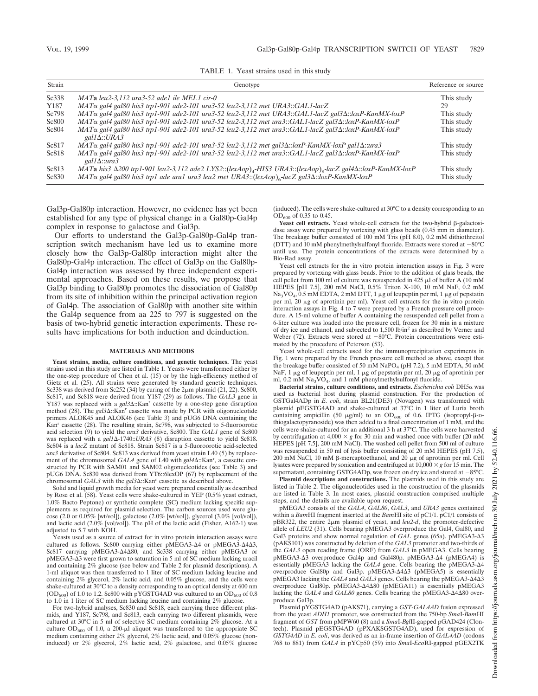| TABLE 1. Yeast strains used in this study |  |  |  |  |  |  |  |
|-------------------------------------------|--|--|--|--|--|--|--|
|-------------------------------------------|--|--|--|--|--|--|--|

| Strain | Genotype                                                                                                                                               | Reference or source |
|--------|--------------------------------------------------------------------------------------------------------------------------------------------------------|---------------------|
| Sc338  | $MATa$ leu2-3,112 ura3-52 ade1 ile MEL1 cir-0                                                                                                          | This study          |
| Y187   | $MAT\alpha$ gal4 gal80 his3 trp1-901 ade2-101 ura3-52 leu2-3,112 met URA3::GAL1-lacZ                                                                   | 29                  |
| Sc798  | $MAT\alpha$ gal4 gal80 his3 trp1-901 ade2-101 ura3-52 leu2-3,112 met URA3::GAL1-lacZ gal3 $\Delta$ ::loxP-KanMX-loxP                                   | This study          |
| Sc800  | $MAT\alpha$ gal4 gal80 his3 trp1-901 ade2-101 ura3-52 leu2-3,112 met ura3::GAL1-lacZ gal3 $\Delta$ ::loxP-KanMX-loxP                                   | This study          |
| Sc804  | $MAT\alpha$ gal4 gal80 his3 trp1-901 ade2-101 ura3-52 leu2-3,112 met ura3::GAL1-lacZ gal3 $\Delta$ ::loxP-KanMX-loxP<br>$\text{gal1}\Delta$ ::URA3     | This study          |
| Sc817  | $MAT\alpha$ gal4 gal80 his3 trp1-901 ade2-101 ura3-52 leu2-3,112 met gal3 $\Delta$ ::loxP-KanMX-loxP gal1 $\Delta$ ::ura3                              | This study          |
| Sc818  | $MAT\alpha$ gal4 gal80 his3 trp1-901 ade2-101 ura3-52 leu2-3,112 met ura3::GAL1-lacZ gal3 $\Delta$ ::loxP-KanMX-loxP<br>$\text{gal1}\Delta$ ::ura3     | This study          |
| Sc813  | $MATa$ his 3 $\Delta$ 200 trp1-901 leu2-3,112 ade2 LYS2::(lexAop) <sub>a</sub> -HIS3 URA3::(lexAop) <sub>8</sub> -lacZ gal4 $\Delta$ ::loxP-KanMX-loxP | This study          |
| Sc830  | $MAT\alpha$ gal4 gal80 his3 trp1 ade ara1 ura3 leu2 met URA3::(lexAop) <sub>6</sub> -lacZ gal3 $\Delta$ ::loxP-KanMX-loxP                              | This study          |

Gal3p-Gal80p interaction. However, no evidence has yet been established for any type of physical change in a Gal80p-Gal4p complex in response to galactose and Gal3p.

Our efforts to understand the Gal3p-Gal80p-Gal4p transcription switch mechanism have led us to examine more closely how the Gal3p-Gal80p interaction might alter the Gal80p-Gal4p interaction. The effect of Gal3p on the Gal80p-Gal4p interaction was assessed by three independent experimental approaches. Based on these results, we propose that Gal3p binding to Gal80p promotes the dissociation of Gal80p from its site of inhibition within the principal activation region of Gal4p. The association of Gal80p with another site within the Gal4p sequence from aa 225 to 797 is suggested on the basis of two-hybrid genetic interaction experiments. These results have implications for both induction and deinduction.

## **MATERIALS AND METHODS**

**Yeast strains, media, culture conditions, and genetic techniques.** The yeast strains used in this study are listed in Table 1. Yeasts were transformed either by the one-step procedure of Chen et al. (15) or by the high-efficiency method of Gietz et al. (25). All strains were generated by standard genetic techniques. Sc338 was derived from Sc252 (34) by curing of the  $2\mu$ m plasmid (21, 22). Sc800, Sc817, and Sc818 were derived from Y187 (29) as follows. The *GAL3* gene in Y187 was replaced with a gal3 $\Delta$ ::Kan<sup>r</sup> cassette by a one-step gene disruption method (28). The *gal3* $\Delta$ ::Kan<sup>r</sup> cassette was made by PCR with oligonucleotide primers ALOK45 and ALOK46 (see Table 3) and pUG6 DNA containing the Kan<sup>r</sup> cassette (28). The resulting strain, Sc798, was subjected to 5-fluoroorotic acid selection (9) to yield the *ura3* derivative, Sc800. The *GAL1* gene of Sc800 was replaced with a  $gall \Delta-1740::URA3$  (8) disruption cassette to yield Sc818. Sc804 is a *lacZ* mutant of Sc818. Strain Sc817 is a 5-fluoroorotic acid-selected *ura3* derivative of Sc804. Sc813 was derived from yeast strain L40 (5) by replacement of the chromosomal *GAL4* gene of L40 with  $gal4\Delta$ ::Kan<sup>r</sup>, a cassette constructed by PCR with SAM01 and SAM02 oligonucleotides (see Table 3) and pUG6 DNA. Sc830 was derived from YT6::6lexOP (67) by replacement of the chromosomal  $GAL3$  with the  $gal3\Delta$ ::Kan<sup>r</sup> cassette as described above.

Solid and liquid growth media for yeast were prepared essentially as described by Rose et al. (58). Yeast cells were shake-cultured in YEP (0.5% yeast extract, 1.0% Bacto Peptone) or synthetic complete (SC) medium lacking specific supplements as required for plasmid selection. The carbon sources used were glucose (2.0 or 0.05% [wt/vol]), galactose (2.0% [wt/vol]), glycerol (3.0% [vol/vol]), and lactic acid (2.0% [vol/vol]). The pH of the lactic acid (Fisher, A162-1) was adjusted to 5.7 with KOH.

Yeasts used as a source of extract for in vitro protein interaction assays were cultured as follows. Sc800 carrying either pMEGA3- $\Delta$ 4 or pMEGA3- $\Delta$ 4 $\Delta$ 3, Sc817 carrying pMEGA3-A4A80, and Sc338 carrying either pMEGA3 or pMEGA3-Δ3 were first grown to saturation in 5 ml of SC medium lacking uracil and containing 2% glucose (see below and Table 2 for plasmid descriptions). A 1-ml aliquot was then transferred to 1 liter of SC medium lacking leucine and containing 2% glycerol, 2% lactic acid, and 0.05% glucose, and the cells were shake-cultured at 30°C to a density corresponding to an optical density at 600 nm  $(OD_{600})$  of 1.0 to 1.2. Sc800 with pYGSTG4AD was cultured to an  $OD_{600}$  of 0.8 to 1.0 in 1 liter of SC medium lacking leucine and containing 2% glucose.

For two-hybrid analyses, Sc830 and Sc818, each carrying three different plasmids, and Y187, Sc798, and Sc813, each carrying two different plasmids, were cultured at 30°C in 5 ml of selective SC medium containing 2% glucose. At a culture  $OD_{600}$  of 1.0, a 200-µl aliquot was transferred to the appropriate SC medium containing either 2% glycerol, 2% lactic acid, and 0.05% glucose (noninduced) or 2% glycerol, 2% lactic acid, 2% galactose, and 0.05% glucose (induced). The cells were shake-cultured at 30°C to a density corresponding to an  $OD_{600}$  of 0.35 to 0.45.

Yeast cell extracts. Yeast whole-cell extracts for the two-hybrid  $\beta$ -galactosidase assay were prepared by vortexing with glass beads (0.45 mm in diameter). The breakage buffer consisted of 100 mM Tris (pH 8.0), 0.2 mM dithiothreitol (DTT) and 10 mM phenylmethylsulfonyl fluoride. Extracts were stored at  $-80^{\circ}\text{C}$ until use. The protein concentrations of the extracts were determined by a Bio-Rad assay.

Yeast cell extracts for the in vitro protein interaction assays in Fig. 3 were prepared by vortexing with glass beads. Prior to the addition of glass beads, the cell pellet from 100 ml of culture was resuspended in 425  $\mu$ l of buffer A (10 mM HEPES [pH 7.5], 200 mM NaCl, 0.5% Triton X-100, 10 mM NaF, 0.2 mM  $Na<sub>3</sub>VO<sub>4</sub>$ , 0.5 mM EDTA, 2 mM DTT, 1 µg of leupeptin per ml, 1 µg of pepstatin per ml, 20 mg of aprotinin per ml). Yeast cell extracts for the in vitro protein interaction assays in Fig. 4 to 7 were prepared by a French pressure cell procedure. A 15-ml volume of buffer A containing the resuspended cell pellet from a 6-liter culture was loaded into the pressure cell, frozen for 30 min in a mixture of dry ice and ethanol, and subjected to 1,500 lb/in<sup>2</sup> as described by Verner and Weber (72). Extracts were stored at  $-80^{\circ}$ C. Protein concentrations were estimated by the procedure of Peterson (53).

Yeast whole-cell extracts used for the immunoprecipitation experiments in Fig. 1 were prepared by the French pressure cell method as above, except that the breakage buffer consisted of 50 mM  $NaPO<sub>4</sub>$  (pH 7.2), 5 mM EDTA, 50 mM NaF, 1 μg of leupeptin per ml, 1 μg of pepstatin per ml, 20 μg of aprotinin per ml, 0.2 mM Na<sub>3</sub>VO<sub>4</sub>, and 1 mM phenylmethylsulfonyl fluoride.

**Bacterial strains, culture conditions, and extracts.** *Escherichia coli* DH5a was used as bacterial host during plasmid construction. For the production of GSTGal4ADp in *E. coli*, strain BL21(DE3) (Novagen) was transformed with plasmid pEGSTG4AD and shake-cultured at 37°C in 1 liter of Luria broth containing ampicillin (50  $\mu$ g/ml) to an OD<sub>600</sub> of 0.6. IPTG (isopropyl- $\beta$ -Dthiogalactopyranoside) was then added to a final concentration of 1 mM, and the cells were shake-cultured for an additional 3 h at 37°C. The cells were harvested by centrifugation at  $4,000 \times g$  for 30 min and washed once with buffer (20 mM HEPES [pH 7.5], 200 mM NaCl). The washed cell pellet from 500 ml of culture was resuspended in 50 ml of lysis buffer consisting of 20 mM HEPES (pH 7.5), 200 mM NaCl, 10 mM  $\beta$ -mercaptoethanol, and 20  $\mu$ g of aprotinin per ml. Cell lysates were prepared by sonication and centrifuged at  $10,000 \times g$  for 15 min. The supernatant, containing GSTG4ADp, was frozen on dry ice and stored at  $-85^{\circ}$ C.

**Plasmid descriptions and constructions.** The plasmids used in this study are listed in Table 2. The oligonucleotides used in the construction of the plasmids are listed in Table 3. In most cases, plasmid construction comprised multiple steps, and the details are available upon request.

pMEGA3 consists of the *GAL4*, *GAL80*, *GAL3*, and *URA3* genes contained within a *Bam*HI fragment inserted at the *Bam*HI site of pC1/1. pC1/1 consists of pBR322, the entire 2 $\mu$ m plasmid of yeast, and *leu2-d*, the promoter-defective allele of *LEU2* (31). Cells bearing pMEGA3 overproduce the Gal4, Gal80, and Gal3 proteins and show normal regulation of *GAL* genes (65a). pMEGA3- $\Delta$ 3 (pAKS101) was constructed by deletion of the *GAL3* promoter and two-thirds of the *GAL3* open reading frame (ORF) from *GAL3* in pMEGA3. Cells bearing pMEGA3- $\Delta$ 3 overproduce Gal4p and Gal480p. pMEGA3- $\Delta$ 4 (pMEGA4) is essentially pMEGA3 lacking the *GAL4* gene. Cells bearing the pMEGA3- $\Delta$ 4 overproduce Gal80p and Gal3p. pMEGA3- $\Delta$ 4 $\Delta$ 3 (pMEGA5) is essentially pMEGA3 lacking the *GAL4* and *GAL3* genes. Cells bearing the pMEGA3-Δ4Δ3 overproduce Gal80p. pMEGA3- $\Delta$ 4 $\Delta$ 80 (pMEGA11) is essentially pMEGA3 lacking the *GAL4* and *GAL80* genes. Cells bearing the pMEGA3- $\Delta$ 4 $\Delta$ 80 overproduce Gal3p.

Plasmid pYGSTG4AD (pAKS71), carrying a *GST-GAL4AD* fusion expressed from the yeast *ADH1* promoter, was constructed from the 750-bp *Sma*I-*Bam*HI fragment of *GST* from pMPW60 (8) and a *Sma*I-*Bgl*II-gapped pGAD424 (Clontech). Plasmid pEGSTG4AD (pPXAKSGSTG4AD), used for expression of *GSTG4AD* in *E. coli*, was derived as an in-frame insertion of *GAL4AD* (codons 768 to 881) from *GAL4* in pYCp50 (59) into *Sma*I-*Eco*RI-gapped pGEX2TK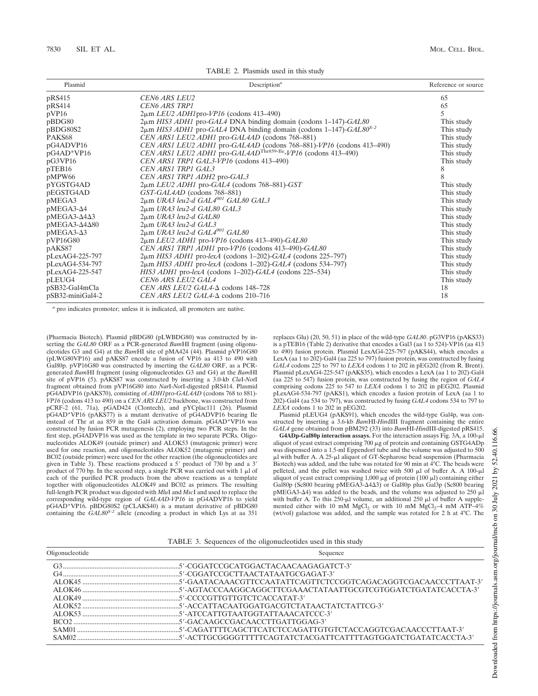|  |  | TABLE 2. Plasmids used in this study |  |  |  |  |
|--|--|--------------------------------------|--|--|--|--|
|--|--|--------------------------------------|--|--|--|--|

| Plasmid                    | Description <sup><math>a</math></sup>                                              | Reference or source |
|----------------------------|------------------------------------------------------------------------------------|---------------------|
| pRS415                     | CEN6 ARS LEU2                                                                      | 65                  |
| pRS414                     | <b>CEN6 ARS TRP1</b>                                                               | 65                  |
| pVP16                      | $2\mu$ m <i>LEU2 ADH1</i> pro- <i>VP16</i> (codons 413–490)                        |                     |
| pBDG80                     | $2\mu$ m HIS3 ADH1 pro-GAL4 DNA binding domain (codons 1–147)-GAL80                | This study          |
| pBDG80S2                   | $2\mu$ m HIS3 ADH1 pro-GAL4 DNA binding domain (codons 1–147)-GAL80 <sup>S-2</sup> | This study          |
| PAKS68                     | CEN ARS1 LEU2 ADH1 pro-GAL4AD (codons 768-881)                                     | This study          |
| pG4ADVP16                  | CEN ARS1 LEU2 ADH1 pro-GAL4AD (codons 768-881)-VP16 (codons 413-490)               | This study          |
| $pG4AD*VP16$               | CEN ARS1 LEU2 ADH1 pro-GAL4ADThr859-Ile-VP16 (codons 413-490)                      | This study          |
| pG3VP16                    | CEN ARS1 TRP1 GAL3-VP16 (codons 413-490)                                           | This study          |
| pTEB16                     | CEN ARS1 TRP1 GAL3                                                                 | 8                   |
| pMPW66                     | CEN ARS1 TRP1 ADH2 pro-GAL3                                                        |                     |
| pYGSTG4AD                  | $2\mu$ m <i>LEU2 ADH1</i> pro- <i>GAL4</i> (codons 768–881)- <i>GST</i>            | This study          |
| pEGSTG4AD                  | GST-GAL4AD (codons 768-881)                                                        | This study          |
| pMEGA3                     | 2μm URA3 leu2-d GAL4 <sup>901</sup> GAL80 GAL3                                     | This study          |
| $pMEGA3-A4$                | 2µm URA3 leu2-d GAL80 GAL3                                                         | This study          |
| $pMEGA3-A4\Delta3$         | 2µm URA3 leu2-d GAL80                                                              | This study          |
| $pMEGA3 - \Delta4\Delta80$ | 2µm URA3 leu2-d GAL3                                                               | This study          |
| $pMEGA3-A3$                | 2µm URA3 leu2-d GAL4 <sup>901</sup> GAL80                                          | This study          |
| pVP16G80                   | $2\mu$ m LEU2 ADH1 pro-VP16 (codons 413-490)-GAL80                                 | This study          |
| pAKS87                     | CEN ARS1 TRP1 ADH1 pro-VP16 (codons 413-490)-GAL80                                 | This study          |
| pLexAG4-225-797            | $2\mu$ m HIS3 ADH1 pro-lexA (codons 1–202)-GAL4 (codons 225–797)                   | This study          |
| pLexAG4-534-797            | $2\mu$ m HIS3 ADH1 pro-lexA (codons 1–202)-GAL4 (codons 534–797)                   | This study          |
| pLexAG4-225-547            | HIS3 ADH1 pro-lexA (codons 1–202)-GAL4 (codons 225–534)                            | This study          |
| pLEUG4                     | CEN6 ARS LEU2 GAL4                                                                 | This study          |
| pSB32-Gal4mCla             | CEN ARS LEU2 GAL4- $\Delta$ codons 148–728                                         | 18                  |
| pSB32-miniGal4-2           | $CENARS$ LEU2 GAL4- $\Delta$ codons 210-716                                        | 18                  |

*a* pro indicates promoter; unless it is indicated, all promoters are native.

(Pharmacia Biotech). Plasmid pBDG80 (pLWBDG80) was constructed by inserting the *GAL80* ORF as a PCR-generated *Bam*HI fragment (using oligonucleotides G3 and G4) at the *Bam*HI site of pMA424 (44). Plasmid pVP16G80 (pLWG80VP16) and pAKS87 encode a fusion of VP16 aa 413 to 490 with Gal80p. pVP16G80 was constructed by inserting the *GAL80* ORF, as a PCRgenerated *Bam*HI fragment (using oligonucleotides G3 and G4) at the *Bam*HI site of pVP16 (5). pAKS87 was constructed by inserting a 3.0-kb *Cla*I-*Not*I fragment obtained from pVP16G80 into *Nar*I-*Not*I-digested pRS414. Plasmid pG4ADVP16 (pAKS70), consisting of *ADH1*pro-*GAL4AD* (codons 768 to 881)- *VP16* (codons 413 to 490) on a *CEN ARS LEU2* backbone, was constructed from pCRF-2 (61, 71a), pGAD424 (Clontech), and pYCplac111 (26). Plasmid pG4AD\*VP16 (pAKS77) is a mutant derivative of pG4ADVP16 bearing Ile instead of Thr at aa 859 in the Gal4 activation domain. pG4AD\*VP16 was constructed by fusion PCR mutagenesis (2), employing two PCR steps. In the first step, pG4ADVP16 was used as the template in two separate PCRs. Oligonucleotides ALOK49 (outside primer) and ALOK53 (mutagenic primer) were used for one reaction, and oligonucleotides ALOK52 (mutagenic primer) and BC02 (outside primer) were used for the other reaction (the oligonucleotides are given in Table 3). These reactions produced a 5' product of  $730$  bp and a 3' product of 770 bp. In the second step, a single PCR was carried out with 1  $\mu$ l of each of the purified PCR products from the above reactions as a template together with oligonucleotides ALOK49 and BC02 as primers. The resulting full-length PCR product was digested with *Mlu*I and *Msc*I and used to replace the corresponding wild-type region of *GAL4AD-VP16* in pG4ADVP16 to yield pG4AD\*VP16. pBDG80S2 (pCLAKS40) is a mutant derivative of pBDG80 containing the *GAL80S-2* allele (encoding a product in which Lys at aa 351 replaces Glu) (20, 50, 51) in place of the wild-type *GAL80*. pG3VP16 (pAKS33) is a pTEB16 (Table 2) derivative that encodes a Gal3 (aa 1 to 524)-VP16 (aa 413 to 490) fusion protein. Plasmid LexAG4-225-797 (pAKS44), which encodes a LexA (aa 1 to 202)-Gal4 (aa 225 to 797) fusion protein, was constructed by fusing *GAL4* codons 225 to 797 to *LEXA* codons 1 to 202 in pEG202 (from R. Brent). Plasmid pLexAG4-225-547 (pAKS35), which encodes a LexA (aa 1 to 202)-Gal4 (aa 225 to 547) fusion protein, was constructed by fusing the region of *GAL4* comprising codons 225 to 547 to *LEXA* codons 1 to 202 in pEG202. Plasmid pLexAG4-534-797 (pAKS1), which encodes a fusion protein of LexA (aa 1 to 202)-Gal4 (aa 534 to 797), was constructed by fusing *GAL4* codons 534 to 797 to *LEXA* codons 1 to 202 in pEG202.

Plasmid pLEUG4 (pAKS91), which encodes the wild-type Gal4p, was constructed by inserting a 3.6-kb *Bam*HI-*Hin*dIII fragment containing the entire *GAL4* gene obtained from pBM292 (33) into *Bam*HI-*Hin*dIII-digested pRS415.

G4ADp-Gal80p interaction assays. For the interaction assays Fig. 3A, a 100-µl aliquot of yeast extract comprising  $700 \mu$ g of protein and containing GSTG4ADp was dispensed into a 1.5-ml Eppendorf tube and the volume was adjusted to 500 µl with buffer A. A 25-µl aliquot of GT-Sepharose bead suspension (Pharmacia Biotech) was added, and the tube was rotated for 90 min at  $4^{\circ}$ C. The beads were pelleted, and the pellet was washed twice with 500  $\mu$ l of buffer A. A 100- $\mu$ l aliquot of yeast extract comprising 1,000  $\mu$ g of protein (100  $\mu$ l) containing either Gal80p (Sc800 bearing pMEGA3- $\triangle$ 4423) or Gal80p plus Gal3p (Sc800 bearing pMEGA3- $\Delta$ 4) was added to the beads, and the volume was adjusted to 250  $\mu$ l with buffer A. To this  $250$ - $\mu$ l volume, an additional  $250$   $\mu$ l of buffer A supplemented either with 10 mM MgCl<sub>2</sub> or with 10 mM MgCl<sub>2</sub>–4 mM ATP–4% (wt/vol) galactose was added, and the sample was rotated for 2 h at 4°C. The

TABLE 3. Sequences of the oligonucleotides used in this study

| Oligonucleotide | Sequence                                                                  |
|-----------------|---------------------------------------------------------------------------|
|                 |                                                                           |
|                 |                                                                           |
|                 | /5'-GAATACAACCOLOGATATICAATATICAATECCGGTCAGACAGGTCGACAACCCTTAAT-3- ALOK45 |
|                 |                                                                           |
|                 |                                                                           |
|                 |                                                                           |
|                 |                                                                           |
|                 |                                                                           |
|                 |                                                                           |
|                 |                                                                           |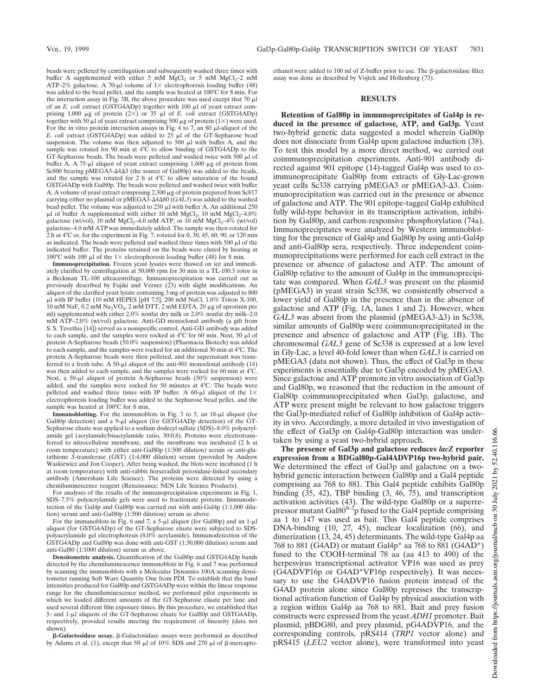beads were pelleted by centrifugation and subsequently washed three times with buffer A supplemented with either 5 mM  $MgCl<sub>2</sub>$  or 5 mM  $MgCl<sub>2</sub>$ -2 mM ATP–2% galactose. A 70-µl volume of  $1 \times$  electrophoresis loading buffer (48) was added to the bead pellet, and the sample was heated at 100°C for 8 min. For the interaction assay in Fig. 3B, the above procedure was used except that 70  $\mu$ l of an *E. coli* extract (GSTG4ADp) together with 100  $\mu$ l of yeast extract comprising 1,000  $\mu$ g of protein (2×) or 35  $\mu$ l of *E. coli* extract (GSTG4ADp) together with 50  $\mu$ l of yeast extract comprising 500  $\mu$ g of protein (1×) were used. For the in vitro protein interaction assays in Fig. 4 to 7, an 80  $\mu$ l-aliquot of the *E. coli* extract (GSTG4ADp) was added to 25 µl of the GT-Sepharose bead suspension. The volume was then adjusted to 500  $\mu$ l with buffer A, and the sample was rotated for 90 min at 4°C to allow binding of GSTG4ADp to the GT-Sepharose beads. The beads were pelleted and washed twice with  $500 \mu l$  of buffer A. A 75- $\mu$ l aliquot of yeast extract comprising 1,600  $\mu$ g of protein from Sc800 bearing pMEGA3- $\Delta$ 4 $\Delta$ 3 (the source of Gal80p) was added to the beads, and the sample was rotated for 2 h at 4°C to allow saturation of the bound GSTG4ADp with Gal80p. The beads were pelleted and washed twice with buffer A. A volume of yeast extract comprising  $2,300 \mu$ g of protein prepared from Sc817 carrying either no plasmid or pMEGA3- $\Delta$ 4 $\Delta$ 80 (*GAL3*) was added to the washed bead pellet. The volume was adjusted to  $250 \mu l$  with buffer A. An additional  $250 \mu l$  $\mu$ l of buffer A supplemented with either 10 mM MgCl<sub>2</sub>, 10 mM MgCl<sub>2</sub>-4.0% galactose (wt/vol), 10 mM MgCl<sub>2</sub>–4.0 mM ATP, or 10 mM MgCl<sub>2</sub>–4% (wt/vol) galactose–4.0 mM ATP was immediately added. The sample was then rotated for 2 h at 4°C or, for the experiment in Fig. 7, rotated for 0, 30, 45, 60, 90, or 120 min as indicated. The beads were pelleted and washed three times with  $500 \mu$ l of the indicated buffer. The proteins retained on the beads were eluted by heating at 100°C with 100  $\mu$ l of the 1× electrophoresis loading buffer (48) for 8 min.

**Immunoprecipitation.** Frozen yeast lysates were thawed on ice and immediately clarified by centrifugation at 50,000 rpm for 30 min in a TL-100.3 rotor in a Beckman TL-100 ultracentrifuge. Immunoprecipitation was carried out as previously described by Fujiki and Verner  $(23)$  with slight modifications. An aliquot of the clarified yeast lysate containing 3 mg of protein was adjusted to 800  $\mu$ l with IP buffer (10 mM HEPES [pH 7.5], 200 mM NaCl, 1.0% Triton X-100, 10 mM NaF, 0.2 mM Na<sub>3</sub>VO<sub>4</sub>, 2 mM DTT, 2 mM EDTA, 20 μg of aprotinin per ml) supplemented with either 2.0% nonfat dry milk or 2.0% nonfat dry milk–2.0 mM ATP–2.0% (wt/vol) galactose. Anti-GD monoclonal antibody (a gift from S. S. Tevethia [14]) served as a nonspecific control. Anti-GD antibody was added to each sample, and the samples were rocked at  $4^{\circ}$ C for 60 min. Next, 50  $\mu$ l of protein A-Sepharose beads (50.0% suspension) (Pharmacia Biotech) was added to each sample, and the samples were rocked for an additional 30 min at 4°C. The protein A-Sepharose beads were then pelleted, and the supernatant was transferred to a fresh tube. A 50- $\mu$ l aliquot of the anti-901 monoclonal antibody (14) was then added to each sample, and the samples were rocked for 60 min at 4°C. Next, a 50-µl aliquot of protein A-Sepharose beads (50% suspension) were added, and the samples were rocked for 50 minutes at 4°C. The beads were pelleted and washed three times with IP buffer. A 60- $\mu$ l aliquot of the 1 $\times$ electrophoresis loading buffer was added to the Sepharose bead pellet, and the sample was heated at 100°C for 8 min.

Immunoblotting. For the immunoblots in Fig. 3 to 5, an 18-µl aliquot (for Gal80p detection) and a 9-µl aliquot (for GSTG4ADp detection) of the GT-Sepharose eluate was applied to a sodium dodecyl sulfate (SDS)–8.0% polyacrylamide gel (acrylamide/bisacrylamide ratio, 30:0.8). Proteins were electrotransferred to nitrocellulose membrane, and the membrane was incubated (2 h at room temperature) with either anti-Gal80p (1:500 dilution) serum or anti-glutathione *S*-transferase (GST) (1:4,000 dilution) serum (provided by Andrew Waskiewicz and Jon Cooper). After being washed, the blots were incubated (1 h at room temperature) with anti-rabbit horseradish peroxidase-linked secondary antibody (Amersham Life Science). The proteins were detected by using a chemiluminescence reagent (Renaissance; NEN Life Science Products).

For analyses of the results of the immunoprecipitation experiments in Fig. 1, SDS–7.5% polyacrylamide gels were used to fractionate proteins. Immunodetection of the Gal4p and Gal80p was carried out with anti-Gal4p (1:1,000 dilution) serum and anti-Gal80p (1:500 dilution) serum as above.

For the immunoblots in Fig. 6 and 7, a  $5-\mu l$  aliquot (for Gal80p) and an 1- $\mu l$ aliquot (for GSTG4ADp) of the GT-Sepharose eluate were subjected to SDSpolyacrylamide gel electrophoresis (8.0% acrylamide). Immunodetection of the GSTG4ADp and Gal80p was done with anti-GST (1:30,000 dilution) serum and anti-Gal80 (1:1000 dilution) serum as above.

**Densitometric analysis.** Quantification of the Gal80p and GSTG4ADp bands detected by the chemiluminescence immunoblots in Fig. 6 and 7 was performed by scanning the immunoblots with a Molecular Dynamics 100A scanning densitometer running Soft Ware Quantity One from PDI. To establish that the band intensities produced for Gal80p and GSTG4ADp were within the linear response range for the chemiluminescence method, we performed pilot experiments in which we loaded different amounts of the GT-Sepharose eluate per lane and used several different film exposure times. By this procedure, we established that 5- and 1-µl aliquots of the GT-Sepharose eluate for Gal80p and GSTG4ADp, respectively, provided results meeting the requirement of linearity (data not shown).

b**-Galactosidase assay.** b-Galactosidase assays were performed as described by Adams et al. (1), except that 50  $\mu$ l of 10% SDS and 270  $\mu$ l of  $\beta$ -mercaptoethanol were added to 100 ml of Z-buffer prior to use. The  $\beta$ -galactosidase filter assay was done as described by Vojtek and Hollenberg (73).

## **RESULTS**

**Retention of Gal80p in immunoprecipitates of Gal4p is reduced in the presence of galactose, ATP, and Gal3p.** Yeast two-hybrid genetic data suggested a model wherein Gal80p does not dissociate from Gal4p upon galactose induction (38). To test this model by a more direct method, we carried out coimmunoprecipitation experiments. Anti-901 antibody directed against 901 epitope (14)-tagged Gal4p was used to coimmunoprecipitate Gal80p from extracts of Gly-Lac-grown yeast cells Sc338 carrying pMEGA3 or pMEGA3- $\Delta$ 3. Coimmunoprecipitation was carried out in the presence or absence of galactose and ATP. The 901 epitope-tagged Gal4p exhibited fully wild-type behavior in its transcription activation, inhibition by Gal80p, and carbon-responsive phosphorylation (74a). Immunoprecipitates were analyzed by Western immunoblotting for the presence of Gal4p and Gal80p by using anti-Gal4p and anti-Gal80p sera, respectively. Three independent coimmunoprecipitations were performed for each cell extract in the presence or absence of galactose and ATP. The amount of Gal80p relative to the amount of Gal4p in the immunoprecipitate was compared. When *GAL3* was present on the plasmid (pMEGA3) in yeast strain Sc338, we consistently observed a lower yield of Gal80p in the presence than in the absence of galactose and ATP (Fig. 1A, lanes 1 and 2). However, when  $GAL3$  was absent from the plasmid (pMEGA3- $\Delta$ 3) in Sc338, similar amounts of Gal80p were coimmunoprecipitated in the presence and absence of galactose and ATP (Fig. 1B). The chromosomal *GAL3* gene of Sc338 is expressed at a low level in Gly-Lac, a level 40-fold lower than when *GAL3* is carried on pMEGA3 (data not shown). Thus, the effect of Gal3p in these experiments is essentially due to Gal3p encoded by pMEGA3. Since galactose and ATP promote in vitro association of Gal3p and Gal80p, we reasoned that the reduction in the amount of Gal80p coimmunoprecipitated when Gal3p, galactose, and ATP were present might be relevant to how galactose triggers the Gal3p-mediated relief of Gal80p inhibition of Gal4p activity in vivo. Accordingly, a more detailed in vivo investigation of the effect of Gal3p on Gal4p-Gal80p interaction was undertaken by using a yeast two-hybrid approach.

**The presence of Gal3p and galactose reduces** *lacZ* **reporter expression from a BDGal80p-Gal4ADVP16p two-hybrid pair.** We determined the effect of Gal3p and galactose on a twohybrid genetic interaction between Gal80p and a Gal4 peptide comprising aa 768 to 881. This Gal4 peptide exhibits Gal80p binding  $(35, 42)$ , TBP binding  $(3, 46, 75)$ , and transcription activation activities (43). The wild-type Gal80p or a superrepressor mutant Gal $80^{s-2}p$  fused to the Gal4 peptide comprising aa 1 to 147 was used as bait. This Gal4 peptide comprises DNA-binding (10, 27, 45), nuclear localization (66), and dimerization (13, 24, 45) determinants. The wild-type Gal4p aa 768 to 881 (G4AD) or mutant Gal4p\* aa 768 to 881 (G4AD\*) fused to the COOH-terminal 78 aa (aa 413 to 490) of the herpesvirus transcriptional activator VP16 was used as prey (G4ADVP16p or G4AD\*VP16p respectively). It was necessary to use the G4ADVP16 fusion protein instead of the G4AD protein alone since Gal80p represses the transcriptional activation function of Gal4p by physical association with a region within Gal4p aa 768 to 881. Bait and prey fusion constructs were expressed from the yeast *ADH1* promoter. Bait plasmid, pBDG80, and prey plasmid, pG4ADVP16, and the corresponding controls, pRS414 (*TRP1* vector alone) and pRS415 (*LEU2* vector alone), were transformed into yeast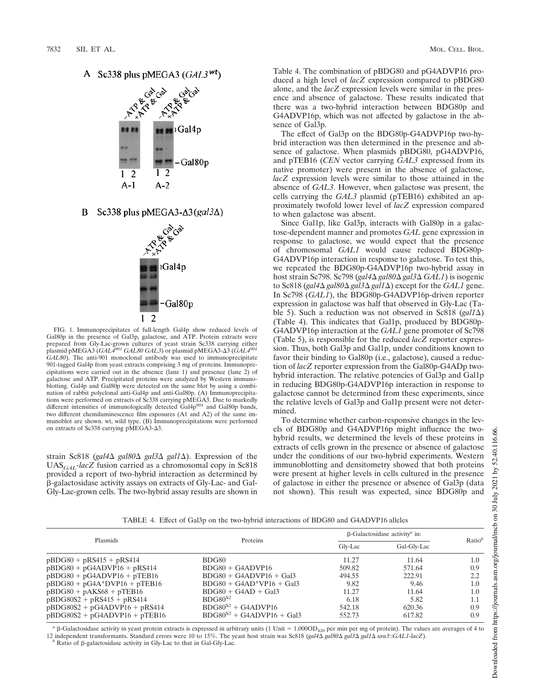

#### B Sc338 plus pMEGA3- $\Delta$ 3(gal3 $\Delta$ )



FIG. 1. Immunoprecipitates of full-length Gal4p show reduced levels of Gal80p in the presence of Gal3p, galactose, and ATP. Protein extracts were prepared from Gly-Lac-grown cultures of yeast strain Sc338 carrying either plasmid pMEGA3 (*GAL4<sup>901</sup> GAL80 GAL3*) or plasmid pMEGA3-D3 (*GAL4<sup>901</sup> GAL80*). The anti-901 monoclonal antibody was used to immunoprecipitate 901-tagged Gal4p from yeast extracts comprising 3 mg of proteins. Immunoprecipitations were carried out in the absence (lane 1) and presence (lane 2) of galactose and ATP. Precipitated proteins were analyzed by Western immunoblotting. Gal4p and Gal80p were detected on the same blot by using a combination of rabbit polyclonal anti-Gal4p and anti-Gal80p. (A) Immunoprecipitations were performed on extracts of Sc338 carrying pMEGA3. Due to markedly different intensities of immunologically detected  $Gal4p<sup>901</sup>$  and Gal80p bands, two different chemiluminescence film exposures (A1 and A2) of the same immunoblot are shown. wt, wild type. (B) Immunoprecipitations were performed on extracts of Sc338 carrying pMEGA3-D3.

strain Sc818 (*gal4*D *gal80*D *gal3*D *gal1*D). Expression of the UAS*GAL-lacZ* fusion carried as a chromosomal copy in Sc818 provided a report of two-hybrid interaction as determined by b-galactosidase activity assays on extracts of Gly-Lac- and Gal-Gly-Lac-grown cells. The two-hybrid assay results are shown in Table 4. The combination of pBDG80 and pG4ADVP16 produced a high level of *lacZ* expression compared to pBDG80 alone, and the *lacZ* expression levels were similar in the presence and absence of galactose. These results indicated that there was a two-hybrid interaction between BDG80p and G4ADVP16p, which was not affected by galactose in the absence of Gal3p.

The effect of Gal3p on the BDG80p-G4ADVP16p two-hybrid interaction was then determined in the presence and absence of galactose. When plasmids pBDG80, pG4ADVP16, and pTEB16 (*CEN* vector carrying *GAL3* expressed from its native promoter) were present in the absence of galactose, *lacZ* expression levels were similar to those attained in the absence of *GAL3*. However, when galactose was present, the cells carrying the *GAL3* plasmid (pTEB16) exhibited an approximately twofold lower level of *lacZ* expression compared to when galactose was absent.

Since Gal1p, like Gal3p, interacts with Gal80p in a galactose-dependent manner and promotes *GAL* gene expression in response to galactose, we would expect that the presence of chromosomal *GAL1* would cause reduced BDG80p-G4ADVP16p interaction in response to galactose. To test this, we repeated the BDG80p-G4ADVP16p two-hybrid assay in host strain Sc798. Sc798 (*gal4*Δ *gal80*Δ *gal3*Δ *GAL1*) is isogenic to Sc818 (*gal4*D *gal80*D *gal3*D *gal1*D) except for the *GAL1* gene. In Sc798 (*GAL1*), the BDG80p-G4ADVP16p-driven reporter expression in galactose was half that observed in Gly-Lac (Table 5). Such a reduction was not observed in Sc818  $(gall \Delta)$ (Table 4). This indicates that Gal1p, produced by BDG80p-G4ADVP16p interaction at the *GAL1* gene promoter of Sc798 (Table 5), is responsible for the reduced *lacZ* reporter expression. Thus, both Gal3p and Gal1p, under conditions known to favor their binding to Gal80p (i.e., galactose), caused a reduction of *lacZ* reporter expression from the Gal80p-G4ADp twohybrid interaction. The relative potencies of Gal3p and Gal1p in reducing BDG80p-G4ADVP16p interaction in response to galactose cannot be determined from these experiments, since the relative levels of Gal3p and Gal1p present were not determined.

To determine whether carbon-responsive changes in the levels of BDG80p and G4ADVP16p might influence the twohybrid results, we determined the levels of these proteins in extracts of cells grown in the presence or absence of galactose under the conditions of our two-hybrid experiments. Western immunoblotting and densitometry showed that both proteins were present at higher levels in cells cultured in the presence of galactose in either the presence or absence of Gal3p (data not shown). This result was expected, since BDG80p and

TABLE 4. Effect of Gal3p on the two-hybrid interactions of BDG80 and G4ADVP16 alleles

| <b>Plasmids</b>                 | Proteins                                            | $\beta$ -Galactosidase activity <sup><i>a</i></sup> in: | $Ratio^b$   |     |
|---------------------------------|-----------------------------------------------------|---------------------------------------------------------|-------------|-----|
|                                 |                                                     | Glv-Lac                                                 | Gal-Glv-Lac |     |
| $pBOG80 + pRS415 + pRS414$      | BDG80                                               | 11.27                                                   | 11.64       | 1.0 |
| $pBDG80 + pG4ADVP16 + pRS414$   | $BDG80 + G4ADVP16$                                  | 509.82                                                  | 571.64      | 0.9 |
| $pBDG80 + pG4ADVP16 + pTEB16$   | $BDG80 + G4ADVP16 + Gal3$                           | 494.55                                                  | 222.91      | 2.2 |
| $pBDG80 + pG4A^*DVP16 + pTEB16$ | $BDG80 + G4AD*VP16 + Gal3$                          | 9.82                                                    | 9.46        | 1.0 |
| $pBDG80 + pAKS68 + pTEB16$      | $BDG80 + G4AD + Gal3$                               | 11.27                                                   | 11.64       | 1.0 |
| $pBDG80S2 + pRS415 + pRS414$    | $B\Gamma$ <sub>680</sub> <sup>\$2</sup>             | 6.18                                                    | 5.82        | 1.1 |
| $pBOG80S2 + pG4ADVP16 + pRS414$ | $B\text{DG}80^{S2} + \text{G4ADVP16}$               | 542.18                                                  | 620.36      | 0.9 |
| $pBOG80S2 + pG4ADVP16 + pTEB16$ | $B\text{DG}80^{S2} + \text{G4ADVP16} + \text{Gal}3$ | 552.73                                                  | 617.82      | 0.9 |

 $a<sub>β</sub>$ -Galactosidase activity in yeast protein extracts is expressed in arbitrary units (1 Unit = 1,000OD<sub>420</sub> per min per mg of protein). The values are averages of 4 to 12 independent transformants. Standard errors were 10 to 15%. The yeast host strain was Sc818 (*gal4*D *gal80*D *gal3*D *gal1*D *ura3*::*GAL1-lacZ*).

 $<sup>b</sup>$  Ratio of  $\beta$ -galactosidase activity in Gly-Lac to that in Gal-Gly-Lac.</sup>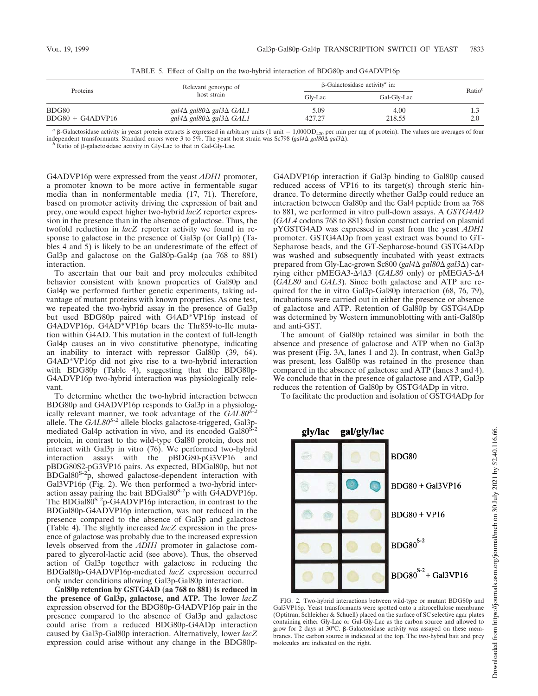TABLE 5. Effect of Gal1p on the two-hybrid interaction of BDG80p and G4ADVP16p

|                             | Relevant genotype of                                                                              | $\beta$ -Galactosidase activity <sup><i>a</i></sup> in: | Ratio <sup>b</sup> |            |
|-----------------------------|---------------------------------------------------------------------------------------------------|---------------------------------------------------------|--------------------|------------|
| Proteins                    | host strain                                                                                       | Glv-Lac                                                 | Gal-Gly-Lac        |            |
| BDG80<br>$BDG80 + G4ADVP16$ | $gal4\Delta$ gal $80\Delta$ gal $3\Delta$ GAL1<br>gal $4\Delta$ gal $80\Delta$ gal $3\Delta$ GAL1 | 5.09<br>427.27                                          | 4.00<br>218.55     | <b>1.L</b> |

<sup>*a*</sup>  $\beta$ -Galactosidase activity in yeast protein extracts is expressed in arbitrary units (1 unit = 1,000OD<sub>420</sub> per min per mg of protein). The values are averages of four independent transformants. Standard errors were 3 to 5%. The yeast host strain was Sc798 (*gal4* $\Delta$  *gal30* $\Delta$  *gal30* $\Delta$ ).

 $<sup>b</sup>$  Ratio of  $\beta$ -galactosidase activity in Gly-Lac to that in Gal-Gly-Lac.</sup>

G4ADVP16p were expressed from the yeast *ADH1* promoter, a promoter known to be more active in fermentable sugar media than in nonfermentable media (17, 71). Therefore, based on promoter activity driving the expression of bait and prey, one would expect higher two-hybrid *lacZ* reporter expression in the presence than in the absence of galactose. Thus, the twofold reduction in *lacZ* reporter activity we found in response to galactose in the presence of Gal3p (or Gal1p) (Tables 4 and 5) is likely to be an underestimate of the effect of Gal3p and galactose on the Gal80p-Gal4p (aa 768 to 881) interaction.

To ascertain that our bait and prey molecules exhibited behavior consistent with known properties of Gal80p and Gal4p we performed further genetic experiments, taking advantage of mutant proteins with known properties. As one test, we repeated the two-hybrid assay in the presence of Gal3p but used BDG80p paired with G4AD\*VP16p instead of G4ADVP16p. G4AD\*VP16p bears the Thr859-to-Ile mutation within G4AD. This mutation in the context of full-length Gal4p causes an in vivo constitutive phenotype, indicating an inability to interact with repressor Gal80p (39, 64). G4AD\*VP16p did not give rise to a two-hybrid interaction with BDG80p (Table 4), suggesting that the BDG80p-G4ADVP16p two-hybrid interaction was physiologically relevant.

To determine whether the two-hybrid interaction between BDG80p and G4ADVP16p responds to Gal3p in a physiolog-ically relevant manner, we took advantage of the *GAL80S-2* allele. The *GAL80S-2* allele blocks galactose-triggered, Gal3pmediated Gal4p activation in vivo, and its encoded Gal $80^{5}$ -2 protein, in contrast to the wild-type Gal80 protein, does not interact with Gal3p in vitro (76). We performed two-hybrid interaction assays with the pBDG80-pG3VP16 and pBDG80S2-pG3VP16 pairs. As expected, BDGal80p, but not BDGal80<sup>S-2</sup>p, showed galactose-dependent interaction with Gal3VP16p (Fig. 2). We then performed a two-hybrid interaction assay pairing the bait BDGal80<sup>S-2</sup>p with G4ADVP16p. The BDGal80<sup>S-2</sup>p-G4ADVP16p interaction, in contrast to the BDGal80p-G4ADVP16p interaction, was not reduced in the presence compared to the absence of Gal3p and galactose (Table 4). The slightly increased *lacZ* expression in the presence of galactose was probably due to the increased expression levels observed from the *ADH1* promoter in galactose compared to glycerol-lactic acid (see above). Thus, the observed action of Gal3p together with galactose in reducing the BDGal80p-G4ADVP16p-mediated *lacZ* expression occurred only under conditions allowing Gal3p-Gal80p interaction.

**Gal80p retention by GSTG4AD (aa 768 to 881) is reduced in the presence of Gal3p, galactose, and ATP.** The lower *lacZ* expression observed for the BDG80p-G4ADVP16p pair in the presence compared to the absence of Gal3p and galactose could arise from a reduced BDG80p-G4ADp interaction caused by Gal3p-Gal80p interaction. Alternatively, lower *lacZ* expression could arise without any change in the BDG80pG4ADVP16p interaction if Gal3p binding to Gal80p caused reduced access of VP16 to its target(s) through steric hindrance. To determine directly whether Gal3p could reduce an interaction between Gal80p and the Gal4 peptide from aa 768 to 881, we performed in vitro pull-down assays. A *GSTG4AD* (*GAL4* codons 768 to 881) fusion construct carried on plasmid pYGSTG4AD was expressed in yeast from the yeast *ADH1* promoter. GSTG4ADp from yeast extract was bound to GT-Sepharose beads, and the GT-Sepharose-bound GSTG4ADp was washed and subsequently incubated with yeast extracts prepared from Gly-Lac-grown Sc800 (*gal4*D *gal80*D *gal3*D) carrying either pMEGA3-Δ4Δ3 (*GAL80* only) or pMEGA3-Δ4 (*GAL80* and *GAL3*). Since both galactose and ATP are required for the in vitro Gal3p-Gal80p interaction (68, 76, 79), incubations were carried out in either the presence or absence of galactose and ATP. Retention of Gal80p by GSTG4ADp was determined by Western immunoblotting with anti-Gal80p and anti-GST.

The amount of Gal80p retained was similar in both the absence and presence of galactose and ATP when no Gal3p was present (Fig. 3A, lanes 1 and 2). In contrast, when Gal3p was present, less Gal80p was retained in the presence than compared in the absence of galactose and ATP (lanes 3 and 4). We conclude that in the presence of galactose and ATP, Gal3p reduces the retention of Gal80p by GSTG4ADp in vitro.

To facilitate the production and isolation of GSTG4ADp for



FIG. 2. Two-hybrid interactions between wild-type or mutant BDG80p and Gal3VP16p. Yeast transformants were spotted onto a nitrocellulose membrane (Optitran; Schleicher & Schuell) placed on the surface of SC selective agar plates containing either Gly-Lac or Gal-Gly-Lac as the carbon source and allowed to grow for  $2$  days at  $30^{\circ}$ C.  $\beta$ -Galactosidase activity was assayed on these membranes. The carbon source is indicated at the top. The two-hybrid bait and prey molecules are indicated on the right.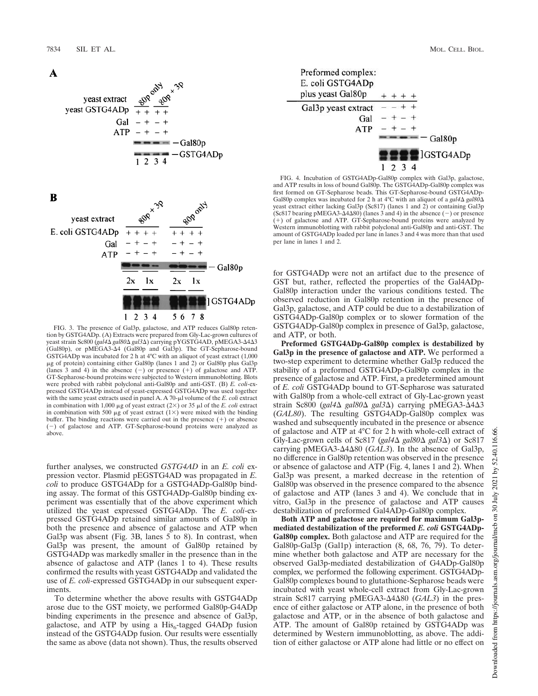

B



FIG. 3. The presence of Gal3p, galactose, and ATP reduces Gal80p retention by GSTG4ADp. (A) Extracts were prepared from Gly-Lac-grown cultures of<br>yeast strain Sc800 (*gal4*Δ *gal80*Δ *gal3*Δ) carrying pYGSTG4AD, pMEGA3-Δ4Δ3 (Gal80p), or pMEGA3-D4 (Gal80p and Gal3p). The GT-Sepharose-bound GSTG4ADp was incubated for 2 h at 4°C with an aliquot of yeast extract (1,000 mg of protein) containing either Gal80p (lanes 1 and 2) or Gal80p plus Gal3p (lanes 3 and 4) in the absence  $(-)$  or presence  $(+)$  of galactose and ATP. GT-Sepharose-bound proteins were subjected to Western immunoblotting. Blots were probed with rabbit polyclonal anti-Gal80p and anti-GST. (B) *E. coli*-expressed GSTG4ADp instead of yeast-expressed GSTG4ADp was used together with the same yeast extracts used in panel A. A 70-µl volume of the *E. coli* extract in combination with 1,000  $\mu$ g of yeast extract (2×) or 35  $\mu$ l of the *E. coli* extract in combination with 500  $\mu$ g of yeast extract (1×) were mixed with the binding buffer. The binding reactions were carried out in the presence  $(+)$  or absence (2) of galactose and ATP. GT-Sepharose-bound proteins were analyzed as above.

further analyses, we constructed *GSTG4AD* in an *E. coli* expression vector. Plasmid pEGSTG4AD was propagated in *E. coli* to produce GSTG4ADp for a GSTG4ADp-Gal80p binding assay. The format of this GSTG4ADp-Gal80p binding experiment was essentially that of the above experiment which utilized the yeast expressed GSTG4ADp. The *E. coli*-expressed GSTG4ADp retained similar amounts of Gal80p in both the presence and absence of galactose and ATP when Gal3p was absent (Fig. 3B, lanes 5 to 8). In contrast, when Gal3p was present, the amount of Gal80p retained by GSTG4ADp was markedly smaller in the presence than in the absence of galactose and ATP (lanes 1 to 4). These results confirmed the results with yeast GSTG4ADp and validated the use of *E. coli*-expressed GSTG4ADp in our subsequent experiments.

To determine whether the above results with GSTG4ADp arose due to the GST moiety, we performed Gal80p-G4ADp binding experiments in the presence and absence of Gal3p, galactose, and ATP by using a His<sub>6</sub>-tagged G4ADp fusion instead of the GSTG4ADp fusion. Our results were essentially the same as above (data not shown). Thus, the results observed



FIG. 4. Incubation of GSTG4ADp-Gal80p complex with Gal3p, galactose, and ATP results in loss of bound Gal80p. The GSTG4ADp-Gal80p complex was first formed on GT-Sepharose beads. This GT-Sepharose-bound GSTG4ADp-Gal80p complex was incubated for 2 h at 4°C with an aliquot of a gal4 $\Delta$  gal80 $\Delta$ yeast extract either lacking Gal3p (Sc817) (lanes 1 and 2) or containing Gal3p (Sc817 bearing pMEGA3- $\overline{\Delta}4\Delta80$ ) (lanes 3 and 4) in the absence (-) or presence (1) of galactose and ATP. GT-Sepharose-bound proteins were analyzed by Western immunoblotting with rabbit polyclonal anti-Gal80p and anti-GST. The amount of GSTG4ADp loaded per lane in lanes 3 and 4 was more than that used per lane in lanes 1 and 2.

for GSTG4ADp were not an artifact due to the presence of GST but, rather, reflected the properties of the Gal4ADp-Gal80p interaction under the various conditions tested. The observed reduction in Gal80p retention in the presence of Gal3p, galactose, and ATP could be due to a destabilization of GSTG4ADp-Gal80p complex or to slower formation of the GSTG4ADp-Gal80p complex in presence of Gal3p, galactose, and ATP, or both.

**Preformed GSTG4ADp-Gal80p complex is destabilized by Gal3p in the presence of galactose and ATP.** We performed a two-step experiment to determine whether Gal3p reduced the stability of a preformed GSTG4ADp-Gal80p complex in the presence of galactose and ATP. First, a predetermined amount of *E. coli* GSTG4ADp bound to GT-Sepharose was saturated with Gal80p from a whole-cell extract of Gly-Lac-grown yeast strain Sc800 (*gal4*Δ *gal80*Δ *gal3*Δ) carrying pMEGA3-Δ4Δ3 (*GAL80*). The resulting GSTG4ADp-Gal80p complex was washed and subsequently incubated in the presence or absence of galactose and ATP at 4°C for 2 h with whole-cell extract of Gly-Lac-grown cells of Sc817 ( $\text{gal}4\Delta \text{ gal}80\Delta \text{ gal}3\Delta$ ) or Sc817 carrying pMEGA3- $\Delta$ 4 $\Delta$ 80 (*GAL3*). In the absence of Gal3p, no difference in Gal80p retention was observed in the presence or absence of galactose and ATP (Fig. 4, lanes 1 and 2). When Gal3p was present, a marked decrease in the retention of Gal80p was observed in the presence compared to the absence of galactose and ATP (lanes 3 and 4). We conclude that in vitro, Gal3p in the presence of galactose and ATP causes destabilization of preformed Gal4ADp-Gal80p complex.

**Both ATP and galactose are required for maximum Gal3pmediated destabilization of the preformed** *E. coli* **GSTG4ADp-Gal80p complex.** Both galactose and ATP are required for the Gal80p-Gal3p (Gal1p) interaction (8, 68, 76, 79). To determine whether both galactose and ATP are necessary for the observed Gal3p-mediated destabilization of G4ADp-Gal80p complex, we performed the following experiment. GSTG4ADp-Gal80p complexes bound to glutathione-Sepharose beads were incubated with yeast whole-cell extract from Gly-Lac-grown strain Sc817 carrying pMEGA3-Δ4Δ80 (*GAL3*) in the presence of either galactose or ATP alone, in the presence of both galactose and ATP, or in the absence of both galactose and ATP. The amount of Gal80p retained by GSTG4ADp was determined by Western immunoblotting, as above. The addition of either galactose or ATP alone had little or no effect on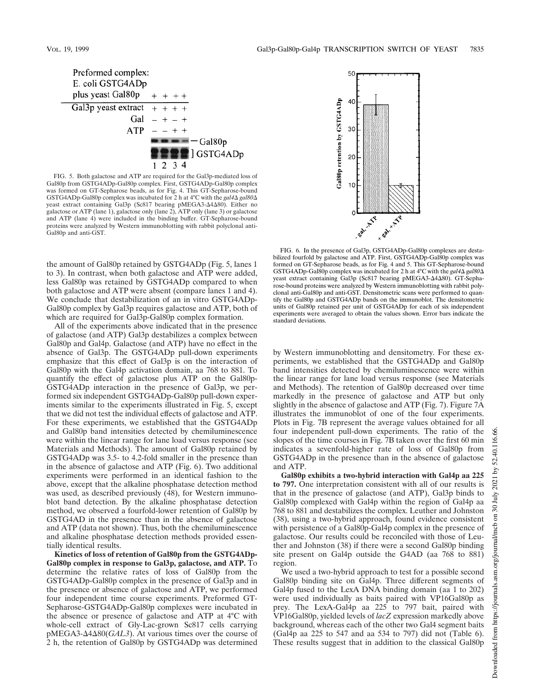

FIG. 5. Both galactose and ATP are required for the Gal3p-mediated loss of Gal80p from GSTG4ADp-Gal80p complex. First, GSTG4ADp-Gal80p complex was formed on GT-Sepharose beads, as for Fig. 4. This GT-Sepharose-bound GSTG4ADp-Gal80p complex was incubated for 2 h at 4°C with the *gal4* $\Delta$  *gal80* $\Delta$ yeast extract containing Gal3p (Sc817 bearing pMEGA3- $\Delta 4\Delta 80$ ). Either no galactose or ATP (lane 1), galactose only (lane 2), ATP only (lane 3) or galactose and ATP (lane 4) were included in the binding buffer. GT-Sepharose-bound proteins were analyzed by Western immunoblotting with rabbit polyclonal anti-Gal80p and anti-GST.

the amount of Gal80p retained by GSTG4ADp (Fig. 5, lanes 1 to 3). In contrast, when both galactose and ATP were added, less Gal80p was retained by GSTG4ADp compared to when both galactose and ATP were absent (compare lanes 1 and 4). We conclude that destabilization of an in vitro GSTG4ADp-Gal80p complex by Gal3p requires galactose and ATP, both of which are required for Gal3p-Gal80p complex formation.

All of the experiments above indicated that in the presence of galactose (and ATP) Gal3p destabilizes a complex between Gal80p and Gal4p. Galactose (and ATP) have no effect in the absence of Gal3p. The GSTG4ADp pull-down experiments emphasize that this effect of Gal3p is on the interaction of Gal80p with the Gal4p activation domain, aa 768 to 881. To quantify the effect of galactose plus ATP on the Gal80p-GSTG4ADp interaction in the presence of Gal3p, we performed six independent GSTG4ADp-Gal80p pull-down experiments similar to the experiments illustrated in Fig. 5, except that we did not test the individual effects of galactose and ATP. For these experiments, we established that the GSTG4ADp and Gal80p band intensities detected by chemiluminescence were within the linear range for lane load versus response (see Materials and Methods). The amount of Gal80p retained by GSTG4ADp was 3.5- to 4.2-fold smaller in the presence than in the absence of galactose and ATP (Fig. 6). Two additional experiments were performed in an identical fashion to the above, except that the alkaline phosphatase detection method was used, as described previously (48), for Western immunoblot band detection. By the alkaline phosphatase detection method, we observed a fourfold-lower retention of Gal80p by GSTG4AD in the presence than in the absence of galactose and ATP (data not shown). Thus, both the chemiluminescence and alkaline phosphatase detection methods provided essentially identical results.

**Kinetics of loss of retention of Gal80p from the GSTG4ADp-Gal80p complex in response to Gal3p, galactose, and ATP.** To determine the relative rates of loss of Gal80p from the GSTG4ADp-Gal80p complex in the presence of Gal3p and in the presence or absence of galactose and ATP, we performed four independent time course experiments. Preformed GT-Sepharose-GSTG4ADp-Gal80p complexes were incubated in the absence or presence of galactose and ATP at 4°C with whole-cell extract of Gly-Lac-grown Sc817 cells carrying pMEGA3-Δ4Δ80(*GAL3*). At various times over the course of 2 h, the retention of Gal80p by GSTG4ADp was determined



FIG. 6. In the presence of Gal3p, GSTG4ADp-Gal80p complexes are destabilized fourfold by galactose and ATP. First, GSTG4ADp-Gal80p complex was formed on GT-Sepharose beads, as for Fig. 4 and 5. This GT-Sepharose-bound GSTG4ADp-Gal80p complex was incubated for 2 h at 4°C with the gal4 $\Delta$  gal80 $\Delta$ yeast extract containing Gal3p (Sc817 bearing pMEGA3- $\Delta$ 4 $\Delta$ 80). GT-Sepharose-bound proteins were analyzed by Western immunoblotting with rabbit polyclonal anti-Gal80p and anti-GST. Densitometric scans were performed to quantify the Gal80p and GSTG4ADp bands on the immunoblot. The densitometric units of Gal80p retained per unit of GSTG4ADp for each of six independent experiments were averaged to obtain the values shown. Error bars indicate the standard deviations.

by Western immunoblotting and densitometry. For these experiments, we established that the GSTG4ADp and Gal80p band intensities detected by chemiluminescence were within the linear range for lane load versus response (see Materials and Methods). The retention of Gal80p decreased over time markedly in the presence of galactose and ATP but only slightly in the absence of galactose and ATP (Fig. 7). Figure 7A illustrates the immunoblot of one of the four experiments. Plots in Fig. 7B represent the average values obtained for all four independent pull-down experiments. The ratio of the slopes of the time courses in Fig. 7B taken over the first 60 min indicates a sevenfold-higher rate of loss of Gal80p from GSTG4ADp in the presence than in the absence of galactose and ATP.

**Gal80p exhibits a two-hybrid interaction with Gal4p aa 225 to 797.** One interpretation consistent with all of our results is that in the presence of galactose (and ATP), Gal3p binds to Gal80p complexed with Gal4p within the region of Gal4p aa 768 to 881 and destabilizes the complex. Leuther and Johnston (38), using a two-hybrid approach, found evidence consistent with persistence of a Gal80p-Gal4p complex in the presence of galactose. Our results could be reconciled with those of Leuther and Johnston (38) if there were a second Gal80p binding site present on Gal4p outside the G4AD (aa 768 to 881) region.

We used a two-hybrid approach to test for a possible second Gal80p binding site on Gal4p. Three different segments of Gal4p fused to the LexA DNA binding domain (aa 1 to 202) were used individually as baits paired with VP16Gal80p as prey. The LexA-Gal4p aa 225 to 797 bait, paired with VP16Gal80p, yielded levels of *lacZ* expression markedly above background, whereas each of the other two Gal4 segment baits (Gal4p aa 225 to 547 and aa 534 to 797) did not (Table 6). These results suggest that in addition to the classical Gal80p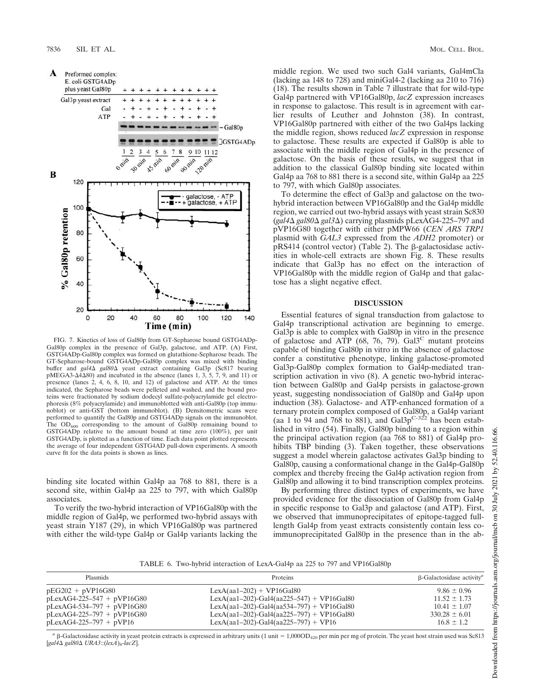

FIG. 7. Kinetics of loss of Gal80p from GT-Sepharose bound GSTG4ADp-Gal80p complex in the presence of Gal3p, galactose, and ATP. (A) First, GSTG4ADp-Gal80p complex was formed on glutathione-Sepharose beads. The GT-Sepharose-bound GSTG4ADp-Gal80p complex was mixed with binding buffer and *gal4* $\Delta$  *gal80* $\Delta$  yeast extract containing Gal3p (Sc817 bearing  $pMEGA3-A4\Delta80$ ) and incubated in the absence (lanes 1, 3, 5, 7, 9, and 11) or presence (lanes 2, 4, 6, 8, 10, and 12) of galactose and ATP. At the times indicated, the Sepharose beads were pelleted and washed, and the bound proteins were fractionated by sodium dodecyl sulfate-polyacrylamide gel electrophoresis (8% polyacrylamide) and immunoblotted with anti-Gal80p (top immunoblot) or anti-GST (bottom immunoblot). (B) Densitometric scans were performed to quantify the Gal80p and GSTG4ADp signals on the immunoblot. The  $OD_{600}$  corresponding to the amount of Gal80p remaining bound to GSTG4ADp relative to the amount bound at time zero (100%), per unit GSTG4ADp, is plotted as a function of time. Each data point plotted represents the average of four independent GSTG4AD pull-down experiments. A smooth curve fit for the data points is shown as lines.

binding site located within Gal4p aa 768 to 881, there is a second site, within Gal4p aa 225 to 797, with which Gal80p associates.

To verify the two-hybrid interaction of VP16Gal80p with the middle region of Gal4p, we performed two-hybrid assays with yeast strain Y187 (29), in which VP16Gal80p was partnered with either the wild-type Gal4p or Gal4p variants lacking the middle region. We used two such Gal4 variants, Gal4mCla (lacking aa 148 to 728) and miniGal4-2 (lacking aa 210 to 716) (18). The results shown in Table 7 illustrate that for wild-type Gal4p partnered with VP16Gal80p, *lacZ* expression increases in response to galactose. This result is in agreement with earlier results of Leuther and Johnston (38). In contrast, VP16Gal80p partnered with either of the two Gal4ps lacking the middle region, shows reduced *lacZ* expression in response to galactose. These results are expected if Gal80p is able to associate with the middle region of Gal4p in the presence of galactose. On the basis of these results, we suggest that in addition to the classical Gal80p binding site located within Gal4p aa 768 to 881 there is a second site, within Gal4p aa 225 to 797, with which Gal80p associates.

To determine the effect of Gal3p and galactose on the twohybrid interaction between VP16Gal80p and the Gal4p middle region, we carried out two-hybrid assays with yeast strain Sc830 (*gal4*D *gal80*D *gal3*D) carrying plasmids pLexAG4-225–797 and pVP16G80 together with either pMPW66 (*CEN ARS TRP1* plasmid with *GAL3* expressed from the *ADH2* promoter) or  $pRS414$  (control vector) (Table 2). The  $\beta$ -galactosidase activities in whole-cell extracts are shown Fig. 8. These results indicate that Gal3p has no effect on the interaction of VP16Gal80p with the middle region of Gal4p and that galactose has a slight negative effect.

## **DISCUSSION**

Essential features of signal transduction from galactose to Gal4p transcriptional activation are beginning to emerge. Gal3p is able to complex with Gal80p in vitro in the presence of galactose and ATP (68, 76, 79). Gal $3^{\circ}$  mutant proteins capable of binding Gal80p in vitro in the absence of galactose confer a constitutive phenotype, linking galactose-promoted Gal3p-Gal80p complex formation to Gal4p-mediated transcription activation in vivo (8). A genetic two-hybrid interaction between Gal80p and Gal4p persists in galactose-grown yeast, suggesting nondissociation of Gal80p and Gal4p upon induction (38). Galactose- and ATP-enhanced formation of a ternary protein complex composed of Gal80p, a Gal4p variant (aa 1 to 94 and 768 to 881), and Gal $3p^{C-322}$  has been established in vitro (54). Finally, Gal80p binding to a region within the principal activation region (aa 768 to 881) of Gal4p prohibits TBP binding (3). Taken together, these observations suggest a model wherein galactose activates Gal3p binding to Gal80p, causing a conformational change in the Gal4p-Gal80p complex and thereby freeing the Gal4p activation region from Gal80p and allowing it to bind transcription complex proteins.

By performing three distinct types of experiments, we have provided evidence for the dissociation of Gal80p from Gal4p in specific response to Gal3p and galactose (and ATP). First, we observed that immunoprecipitates of epitope-tagged fulllength Gal4p from yeast extracts consistently contain less coimmunoprecipitated Gal80p in the presence than in the ab-

TABLE 6. Two-hybrid interaction of LexA-Gal4p aa 225 to 797 and VP16Gal80p

| Plasmids                     | <b>Proteins</b>                             | $\beta$ -Galactosidase activity <sup><i>a</i></sup> |
|------------------------------|---------------------------------------------|-----------------------------------------------------|
| $pEG202 + pVP16G80$          | $LexA(aa1-202) + VP16Ga180$                 | $9.86 \pm 0.96$                                     |
| $pLexAG4-225-547 + pVP16G80$ | LexA(aa1-202)-Gal4(aa225-547) + VP16Gal80   | $11.52 \pm 1.73$                                    |
| $pLexAG4-534-797 + pVP16G80$ | $LexA(aa1-202)-Gal4(aa534-797) + VP16Gal80$ | $10.41 \pm 1.07$                                    |
| $pLexAG4-225-797 + pVP16G80$ | $LexA(aa1-202)-Gal4(aa225-797) + VP16Gal80$ | $330.28 \pm 6.01$                                   |
| $pLexAG4-225-797 + pVP16$    | LexA(aa1-202)-Gal4(aa225-797) + VP16        | $16.8 \pm 1.2$                                      |

 $a$   $\beta$ -Galactosidase activity in yeast protein extracts is expressed in arbitrary units (1 unit = 1,000OD<sub>420</sub> per min per mg of protein. The yeast host strain used was Sc813 [*gal4*D *gal80*D *URA3*::(*lexA*)<sup>8</sup> -*lacZ*].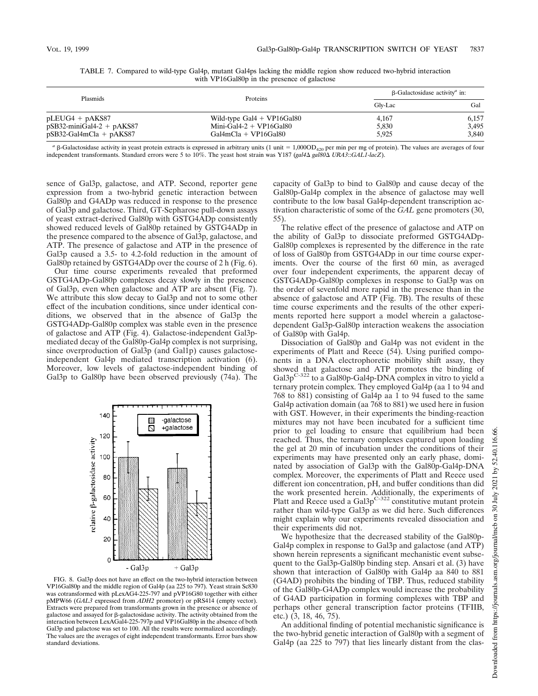| <b>Plasmids</b>                | Proteins                       | $\beta$ -Galactosidase activity <sup><i>a</i></sup> in: |       |  |
|--------------------------------|--------------------------------|---------------------------------------------------------|-------|--|
|                                |                                | Gly-Lac                                                 | Gal   |  |
| $pLEUG4 + pAKS87$              | Wild-type $Gal4 + VP16Gal80$   | 4.167                                                   | 6.157 |  |
| $pSB32$ -miniGal4-2 + $pAKS87$ | Mini-Gal $4-2 + VP16$ Gal $80$ | 5,830                                                   | 3.495 |  |
| $pSB32-Gal4mCla + pAKS87$      | $Gal4mCla + VP16Gal80$         | 5,925                                                   | 3.840 |  |

TABLE 7. Compared to wild-type Gal4p, mutant Gal4ps lacking the middle region show reduced two-hybrid interaction with VP16Gal80p in the presence of galactose

<sup>*a*</sup> β-Galactosidase activity in yeast protein extracts is expressed in arbitrary units (1 unit = 1,000OD<sub>420</sub> per min per mg of protein). The values are averages of four independent transformants. Standard errors were 5 to 10%. The yeast host strain was Y187 (*gal4*D *gal80*D *URA3*::*GAL1-lacZ*).

sence of Gal3p, galactose, and ATP. Second, reporter gene expression from a two-hybrid genetic interaction between Gal80p and G4ADp was reduced in response to the presence of Gal3p and galactose. Third, GT-Sepharose pull-down assays of yeast extract-derived Gal80p with GSTG4ADp consistently showed reduced levels of Gal80p retained by GSTG4ADp in the presence compared to the absence of Gal3p, galactose, and ATP. The presence of galactose and ATP in the presence of Gal3p caused a 3.5- to 4.2-fold reduction in the amount of Gal80p retained by GSTG4ADp over the course of 2 h (Fig. 6).

Our time course experiments revealed that preformed GSTG4ADp-Gal80p complexes decay slowly in the presence of Gal3p, even when galactose and ATP are absent (Fig. 7). We attribute this slow decay to Gal3p and not to some other effect of the incubation conditions, since under identical conditions, we observed that in the absence of Gal3p the GSTG4ADp-Gal80p complex was stable even in the presence of galactose and ATP (Fig. 4). Galactose-independent Gal3pmediated decay of the Gal80p-Gal4p complex is not surprising, since overproduction of Gal3p (and Gal1p) causes galactoseindependent Gal4p mediated transcription activation (6). Moreover, low levels of galactose-independent binding of Gal3p to Gal80p have been observed previously (74a). The



FIG. 8. Gal3p does not have an effect on the two-hybrid interaction between VP16Gal80p and the middle region of Gal4p (aa 225 to 797). Yeast strain Sc830 was cotransformed with pLexAG4-225-797 and pVP16G80 together with either pMPW66 (*GAL3* expressed from *ADH2* promoter) or pRS414 (empty vector). Extracts were prepared from transformants grown in the presence or absence of galactose and assayed for  $\beta$ -galactosidase activity. The activity obtained from the interaction between LexAGal4-225-797p and VP16Gal80p in the absence of both Gal3p and galactose was set to 100. All the results were normalized accordingly. The values are the averages of eight independent transformants. Error bars show standard deviations.

capacity of Gal3p to bind to Gal80p and cause decay of the Gal80p-Gal4p complex in the absence of galactose may well contribute to the low basal Gal4p-dependent transcription activation characteristic of some of the *GAL* gene promoters (30, 55).

The relative effect of the presence of galactose and ATP on the ability of Gal3p to dissociate preformed GSTG4ADp-Gal80p complexes is represented by the difference in the rate of loss of Gal80p from GSTG4ADp in our time course experiments. Over the course of the first 60 min, as averaged over four independent experiments, the apparent decay of GSTG4ADp-Gal80p complexes in response to Gal3p was on the order of sevenfold more rapid in the presence than in the absence of galactose and ATP (Fig. 7B). The results of these time course experiments and the results of the other experiments reported here support a model wherein a galactosedependent Gal3p-Gal80p interaction weakens the association of Gal80p with Gal4p.

Dissociation of Gal80p and Gal4p was not evident in the experiments of Platt and Reece (54). Using purified components in a DNA electrophoretic mobility shift assay, they showed that galactose and ATP promotes the binding of Gal $3p^{C-322}$  to a Gal $80p-Ga14p-DNA$  complex in vitro to yield a ternary protein complex. They employed Gal4p (aa 1 to 94 and 768 to 881) consisting of Gal4p aa 1 to 94 fused to the same Gal4p activation domain (aa 768 to 881) we used here in fusion with GST. However, in their experiments the binding-reaction mixtures may not have been incubated for a sufficient time prior to gel loading to ensure that equilibrium had been reached. Thus, the ternary complexes captured upon loading the gel at 20 min of incubation under the conditions of their experiments may have presented only an early phase, dominated by association of Gal3p with the Gal80p-Gal4p-DNA complex. Moreover, the experiments of Platt and Reece used different ion concentration, pH, and buffer conditions than did the work presented herein. Additionally, the experiments of Platt and Reece used a  $Gal3p^{C-322}$  constitutive mutant protein rather than wild-type Gal3p as we did here. Such differences might explain why our experiments revealed dissociation and their experiments did not.

We hypothesize that the decreased stability of the Gal80p-Gal4p complex in response to Gal3p and galactose (and ATP) shown herein represents a significant mechanistic event subsequent to the Gal3p-Gal80p binding step. Ansari et al. (3) have shown that interaction of Gal80p with Gal4p aa 840 to 881 (G4AD) prohibits the binding of TBP. Thus, reduced stability of the Gal80p-G4ADp complex would increase the probability of G4AD participation in forming complexes with TBP and perhaps other general transcription factor proteins (TFIIB, etc.) (3, 18, 46, 75).

An additional finding of potential mechanistic significance is the two-hybrid genetic interaction of Gal80p with a segment of Gal4p (aa 225 to 797) that lies linearly distant from the clas-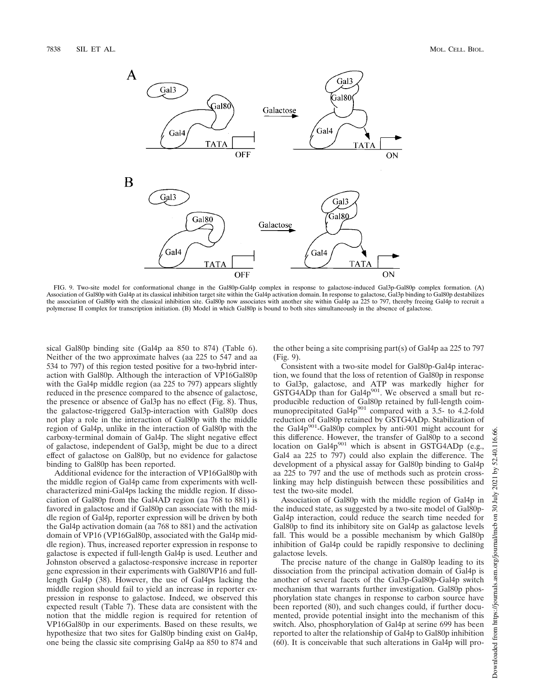

FIG. 9. Two-site model for conformational change in the Gal80p-Gal4p complex in response to galactose-induced Gal3p-Gal80p complex formation. (A) Association of Gal80p with Gal4p at its classical inhibition target site within the Gal4p activation domain. In response to galactose, Gal3p binding to Gal80p destabilizes the association of Gal80p with the classical inhibition site. Gal80p now associates with another site within Gal4p aa 225 to 797, thereby freeing Gal4p to recruit a polymerase II complex for transcription initiation. (B) Model in which Gal80p is bound to both sites simultaneously in the absence of galactose.

sical Gal80p binding site (Gal4p aa 850 to 874) (Table 6). Neither of the two approximate halves (aa 225 to 547 and aa 534 to 797) of this region tested positive for a two-hybrid interaction with Gal80p. Although the interaction of VP16Gal80p with the Gal4p middle region (aa 225 to 797) appears slightly reduced in the presence compared to the absence of galactose, the presence or absence of Gal3p has no effect (Fig. 8). Thus, the galactose-triggered Gal3p-interaction with Gal80p does not play a role in the interaction of Gal80p with the middle region of Gal4p, unlike in the interaction of Gal80p with the carboxy-terminal domain of Gal4p. The slight negative effect of galactose, independent of Gal3p, might be due to a direct effect of galactose on Gal80p, but no evidence for galactose binding to Gal80p has been reported.

Additional evidence for the interaction of VP16Gal80p with the middle region of Gal4p came from experiments with wellcharacterized mini-Gal4ps lacking the middle region. If dissociation of Gal80p from the Gal4AD region (aa 768 to 881) is favored in galactose and if Gal80p can associate with the middle region of Gal4p, reporter expression will be driven by both the Gal4p activation domain (aa 768 to 881) and the activation domain of VP16 (VP16Gal80p, associated with the Gal4p middle region). Thus, increased reporter expression in response to galactose is expected if full-length Gal4p is used. Leuther and Johnston observed a galactose-responsive increase in reporter gene expression in their experiments with Gal80VP16 and fulllength Gal4p (38). However, the use of Gal4ps lacking the middle region should fail to yield an increase in reporter expression in response to galactose. Indeed, we observed this expected result (Table 7). These data are consistent with the notion that the middle region is required for retention of VP16Gal80p in our experiments. Based on these results, we hypothesize that two sites for Gal80p binding exist on Gal4p, one being the classic site comprising Gal4p aa 850 to 874 and

the other being a site comprising part(s) of Gal4p aa 225 to 797 (Fig. 9).

Consistent with a two-site model for Gal80p-Gal4p interaction, we found that the loss of retention of Gal80p in response to Gal3p, galactose, and ATP was markedly higher for  $GSTG4ADp$  than for  $Gal4p^{901}$ . We observed a small but reproducible reduction of Gal80p retained by full-length coim-<br>munoprecipitated Gal4p<sup>901</sup> compared with a 3.5- to 4.2-fold reduction of Gal80p retained by GSTG4ADp. Stabilization of the Gal4p<sup>901</sup>-Gal80p complex by anti-901 might account for this difference. However, the transfer of Gal80p to a second location on Gal4p<sup>901</sup> which is absent in GSTG4ADp (e.g., Gal4 aa 225 to 797) could also explain the difference. The development of a physical assay for Gal80p binding to Gal4p aa 225 to 797 and the use of methods such as protein crosslinking may help distinguish between these possibilities and test the two-site model.

Association of Gal80p with the middle region of Gal4p in the induced state, as suggested by a two-site model of Gal80p-Gal4p interaction, could reduce the search time needed for Gal80p to find its inhibitory site on Gal4p as galactose levels fall. This would be a possible mechanism by which Gal80p inhibition of Gal4p could be rapidly responsive to declining galactose levels.

The precise nature of the change in Gal80p leading to its dissociation from the principal activation domain of Gal4p is another of several facets of the Gal3p-Gal80p-Gal4p switch mechanism that warrants further investigation. Gal80p phosphorylation state changes in response to carbon source have been reported (80), and such changes could, if further documented, provide potential insight into the mechanism of this switch. Also, phosphorylation of Gal4p at serine 699 has been reported to alter the relationship of Gal4p to Gal80p inhibition (60). It is conceivable that such alterations in Gal4p will pro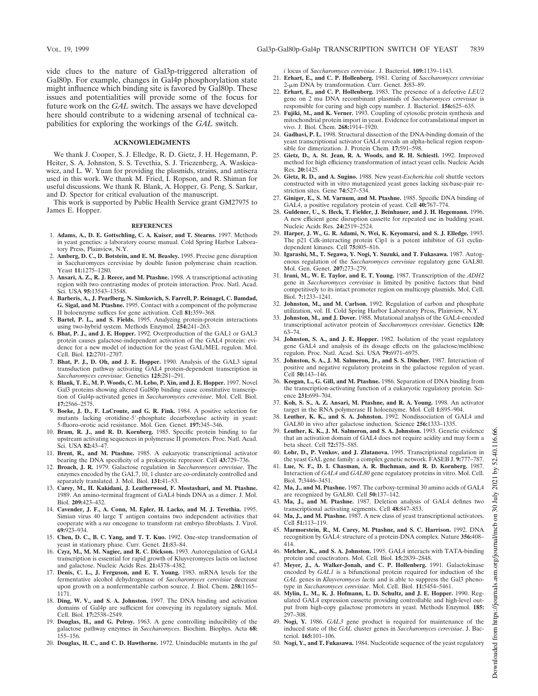vide clues to the nature of Gal3p-triggered alteration of Gal80p. For example, changes in Gal4p phosphorylation state might influence which binding site is favored by Gal80p. These issues and potentialities will provide some of the focus for future work on the *GAL* switch. The assays we have developed here should contribute to a widening arsenal of technical capabilities for exploring the workings of the *GAL* switch.

## **ACKNOWLEDGMENTS**

We thank J. Cooper, S. J. Elledge, R. D. Gietz, J. H. Hegemann, P. Heiter, S. A. Johnston, S. S. Tevethia, S. J. Triezenberg, A. Waskieawicz, and L. W. Yuan for providing the plasmids, strains, and antisera used in this work. We thank M. Fried, I. Ropson, and R. Shiman for useful discussions. We thank R. Blank, A. Hopper, G. Peng, S. Sarkar, and D. Spector for critical evaluation of the manuscript.

This work is supported by Public Health Service grant GM27975 to James E. Hopper.

### **REFERENCES**

- 1. **Adams, A., D. E. Gottschling, C. A. Kaiser, and T. Stearns.** 1997. Methods in yeast genetics: a laboratory course manual. Cold Spring Harbor Laboratory Press, Plainview, N.Y.
- 2. **Amberg, D. C., D. Botstein, and E. M. Beasley.** 1995. Precise gene disruption in Saccharomyces cerevisiae by double fusion polymerase chain reaction. Yeast **11:**1275–1280.
- 3. **Ansari, A. Z., R. J. Reece, and M. Ptashne.** 1998. A transcriptional activating region with two contrasting modes of protein interaction. Proc. Natl. Acad. Sci. USA **95:**13543–13548.
- 4. **Barberis, A., J. Pearlberg, N. Simkovich, S. Farrell, P. Reinagel, C. Bamdad, G. Sigal, and M. Ptashne.** 1995. Contact with a component of the polymerase II holoenzyme suffices for gene activation. Cell **81:**359–368.
- 5. **Bartel, P. L., and S. Fields.** 1995. Analyzing protein-protein interactions using two-hybrid system. Methods Enzymol. **254:**241–263.
- 6. **Bhat, P. J., and J. E. Hopper.** 1992. Overproduction of the GAL1 or GAL3 protein causes galactose-independent activation of the GAL4 protein: evidence for a new model of induction for the yeast GAL/MEL regulon. Mol. Cell. Biol. **12:**2701–2707.
- 7. **Bhat, P. J., D. Oh, and J. E. Hopper.** 1990. Analysis of the GAL3 signal transduction pathway activating GAL4 protein-dependent transcription in *Saccharomyces cerevisiae*. Genetics **125:**281–291.
- 8. **Blank, T. E., M. P. Woods, C. M. Lebo, P. Xin, and J. E. Hopper.** 1997. Novel Gal3 proteins showing altered Gal80p binding cause constitutive transcription of Gal4p-activated genes in *Saccharomyces cerevisiae*. Mol. Cell. Biol. **17:**2566–2575.
- 9. **Boeke, J. D., F. LaCroute, and G. R. Fink.** 1984. A positive selection for mutants lacking orotidine-5'-phosphate decarboxylase activity in yeast: 5-fluoro-orotic acid resistance. Mol. Gen. Genet. **197:**345–346.
- 10. **Bram, R. J., and R. D. Kornberg.** 1985. Specific protein binding to far upstream activating sequences in polymerase II promoters. Proc. Natl. Acad. Sci. USA **82:**43–47.
- 11. **Brent, R., and M. Ptashne.** 1985. A eukaryotic transcriptional activator bearing the DNA specificity of a prokaryotic repressor. Cell **43:**729–736.
- 12. **Broach, J. R.** 1979. Galactose regulation in *Saccharomyces cerevisiae*. The enzymes encoded by the GAL7, 10, 1 cluster are co-ordinately controlled and separately translated. J. Mol. Biol. **131:**41–53.
- 13. **Carey, M., H. Kakidani, J. Leatherwood, F. Mostashari, and M. Ptashne.** 1989. An amino-terminal fragment of GAL4 binds DNA as a dimer. J. Mol. Biol. **209:**423–432.
- 14. **Cavender, J. F., A. Conn, M. Epler, H. Lacko, and M. J. Tevethia.** 1995. Simian virus 40 large T antigen contains two independent activities that cooperate with a *ras* oncogene to transform rat embryo fibroblasts. J. Virol. **69:**923–934.
- 15. **Chen, D. C., B. C. Yang, and T. T. Kuo.** 1992. One-step transformation of yeast in stationary phase. Curr. Genet. **21:**83–84.
- 16. **Czyz, M., M. M. Nagiec, and R. C. Dickson.** 1993. Autoregulation of GAL4 transcription is essential for rapid growth of Kluyveromyces lactis on lactose and galactose. Nucleic Acids Res. **21:**4378–4382.
- 17. **Denis, C. L., J. Ferguson, and E. T. Young.** 1983. mRNA levels for the fermentative alcohol dehydrogenase of *Saccharomyces cerevisiae* decrease upon growth on a nonfermentable carbon source. J. Biol. Chem. **258:**1165– 1171.
- 18. **Ding, W. V., and S. A. Johnston.** 1997. The DNA binding and activation domains of Gal4p are sufficient for conveying its regulatory signals. Mol. Cell. Biol. **17:**2538–2549.
- 19. **Douglas, H., and G. Pelroy.** 1963. A gene controlling inducibility of the galactose pathway enzymes in *Saccharomyces*. Biochim. Biophys. Acta **68:** 155–156.
- 20. **Douglas, H. C., and C. D. Hawthorne.** 1972. Uninducible mutants in the *gal*

*i* locus of *Saccharomyces cerevisiae*. J. Bacteriol. **109:**1139–1143.

- 21. **Erhart, E., and C. P. Hollenberg.** 1981. Curing of *Saccharomyces cerevisiae* 2-mm DNA by transformation. Curr. Genet. **3:**83–89.
- 22. **Erhart, E., and C. P. Hollenberg.** 1983. The presence of a defective *LEU2* gene on 2 mu DNA recombinant plasmids of *Saccharomyces cerevisiae* is responsible for curing and high copy number. J. Bacteriol. **156:**625–635.
- 23. **Fujiki, M., and K. Verner.** 1993. Coupling of cytosolic protein synthesis and mitochondrial protein import in yeast. Evidence for cotranslational import in vivo. J. Biol. Chem. **268:**1914–1920.
- 24. **Gadhavi, P. L.** 1998. Structural dissection of the DNA-binding domain of the yeast transcriptional activator GAL4 reveals an alpha-helical region responsible for dimerization. J. Protein Chem. **17:**591–598.
- 25. **Gietz, D., A. St. Jean, R. A. Woods, and R. H. Schiestl.** 1992. Improved method for high efficiency transformation of intact yeast cells. Nucleic Acids Res. **20:**1425.
- 26. **Gietz, R. D., and A. Sugino.** 1988. New yeast-*Escherichia coli* shuttle vectors constructed with in vitro mutagenized yeast genes lacking six-base-pair restriction sites. Gene **74:**527–534.
- 27. **Giniger, E., S. M. Varnum, and M. Ptashne.** 1985. Specific DNA binding of GAL4, a positive regulatory protein of yeast. Cell **40:**767–774.
- 28. **Guldener, U., S. Heck, T. Fielder, J. Beinhauer, and J. H. Hegemann.** 1996. A new efficient gene disruption cassette for repeated use in budding yeast. Nucleic Acids Res. **24:**2519–2524.
- 29. **Harper, J. W., G. R. Adami, N. Wei, K. Keyomarsi, and S. J. Elledge.** 1993. The p21 Cdk-interacting protein Cip1 is a potent inhibitor of G1 cyclindependent kinases. Cell **75:**805–816.
- 30. **Igarashi, M., T. Segawa, Y. Nogi, Y. Suzuki, and T. Fukasawa.** 1987. Autogenous regulation of the *Saccharomyces cerevisiae* regulatory gene GAL80. Mol. Gen. Genet. **207:**273–279.
- 31. **Irani, M., W. E. Taylor, and E. T. Young.** 1987. Transcription of the *ADH2* gene in *Saccharomyces cerevisiae* is limited by positive factors that bind competitively to its intact promoter region on multicopy plasmids. Mol. Cell. Biol. **7:**1233–1241.
- 32. **Johnston, M., and M. Carlson.** 1992. Regulation of carbon and phosphate utilization, vol. II. Cold Spring Harbor Laboratory Press, Plainview, N.Y.
- Johnston, M., and J. Dover. 1988. Mutational analysis of the GAL4-encoded transcriptional activator protein of *Saccharomyces cerevisiae*. Genetics **120:** 63–74.
- 34. **Johnston, S. A., and J. E. Hopper.** 1982. Isolation of the yeast regulatory gene GAL4 and analysis of its dosage effects on the galactose/melibiose regulon. Proc. Natl. Acad. Sci. USA **79:**6971–6975.
- 35. **Johnston, S. A., J. M. Salmeron, Jr., and S. S. Dincher.** 1987. Interaction of positive and negative regulatory proteins in the galactose regulon of yeast. Cell **50:**143–146.
- 36. **Keegan, L., G. Gill, and M. Ptashne.** 1986. Separation of DNA binding from the transcription-activating function of a eukaryotic regulatory protein. Science **231:**699–704.
- 37. **Koh, S. S., A. Z. Ansari, M. Ptashne, and R. A. Young.** 1998. An activator target in the RNA polymerase II holoenzyme. Mol. Cell **1:**895–904.
- 38. **Leuther, K. K., and S. A. Johnston.** 1992. Nondissociation of GAL4 and GAL80 in vivo after galactose induction. Science **256:**1333–1335.
- 39. **Leuther, K. K., J. M. Salmeron, and S. A. Johnston.** 1993. Genetic evidence that an activation domain of GAL4 does not require acidity and may form a beta sheet. Cell **72:**575–585.
- 40. **Lohr, D., P. Venkov, and J. Zlatanova.** 1995. Transcriptional regulation in the yeast GAL gene family: a complex genetic network. FASEB J. **9:**777–787.
- 41. **Lue, N. F., D. I. Chasman, A. R. Buchman, and R. D. Kornberg.** 1987. Interaction of *GAL4* and *GAL80* gene regulatory proteins in vitro. Mol. Cell. Biol. **7:**3446–3451.
- 42. **Ma, J., and M. Ptashne.** 1987. The carboxy-terminal 30 amino acids of GAL4 are recognized by GAL80. Cell **50:**137–142.
- 43. **Ma, J., and M. Ptashne.** 1987. Deletion analysis of GAL4 defines two transcriptional activating segments. Cell **48:**847–853.
- 44. **Ma, J., and M. Ptashne.** 1987. A new class of yeast transcriptional activators. Cell **51:**113–119.
- 45. **Marmorstein, R., M. Carey, M. Ptashne, and S. C. Harrison.** 1992. DNA recognition by GAL4: structure of a protein-DNA complex. Nature **356:**408– 414.
- 46. **Melcher, K., and S. A. Johnston.** 1995. GAL4 interacts with TATA-binding protein and coactivators. Mol. Cell. Biol. **15:**2839–2848.
- 47. **Meyer, J., A. Walker-Jonah, and C. P. Hollenberg.** 1991. Galactokinase encoded by *GAL1* is a bifunctional protein required for induction of the *GAL* genes in *Kluyveromyces lactis* and is able to suppress the Gal3 phenotype in *Saccharomyces cerevisiae*. Mol. Cell. Biol. **11:**5454–5461.
- 48. **Mylin, L. M., K. J. Hofmann, L. D. Schultz, and J. E. Hopper.** 1990. Regulated GAL4 expression cassette providing controllable and high-level output from high-copy galactose promoters in yeast. Methods Enzymol. **185:** 297–308.
- 49. **Nogi, Y.** 1986. *GAL3* gene product is required for maintenance of the induced state of the *GAL* cluster genes in *Saccharomyces cerevisiae*. J. Bacteriol. **165:**101–106.
- 50. **Nogi, Y., and T. Fukasawa.** 1984. Nucleotide sequence of the yeast regulatory